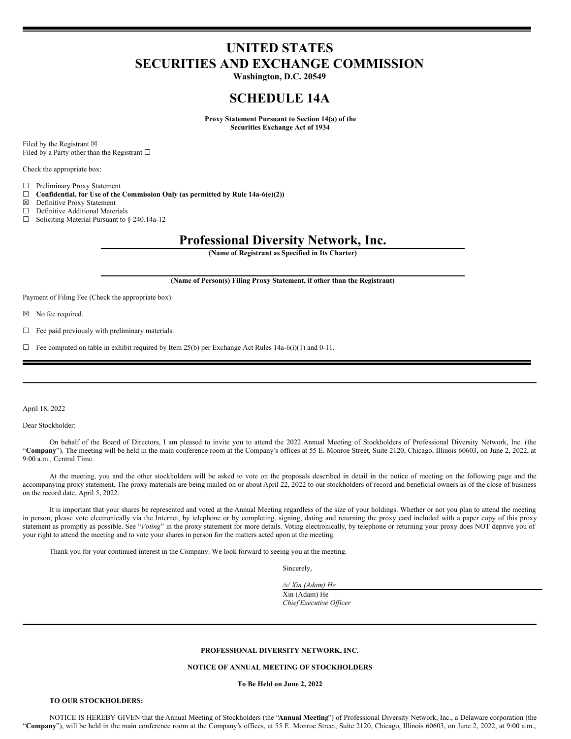# **UNITED STATES SECURITIES AND EXCHANGE COMMISSION**

**Washington, D.C. 20549**

# **SCHEDULE 14A**

**Proxy Statement Pursuant to Section 14(a) of the Securities Exchange Act of 1934**

Filed by the Registrant  $\boxtimes$ Filed by a Party other than the Registrant  $□$ 

Check the appropriate box:

 $\Box$  Preliminary Proxy Statement<br> $\Box$  Confidential, for Use of the

 $\Box$  **Confidential, for Use of the Commission Only (as permitted by Rule 14a-6(e)(2))**<br> $\boxtimes$  **Definitive Proxy Statement** 

- ☒ Definitive Proxy Statement
- □ Definitive Additional Materials

☐ Soliciting Material Pursuant to § 240.14a-12

# **Professional Diversity Network, Inc.**

**(Name of Registrant as Specified in Its Charter)**

#### **(Name of Person(s) Filing Proxy Statement, if other than the Registrant)**

Payment of Filing Fee (Check the appropriate box):

☒ No fee required.

 $\Box$  Fee paid previously with preliminary materials.

 $\Box$  Fee computed on table in exhibit required by Item 25(b) per Exchange Act Rules 14a-6(i)(1) and 0-11.

April 18, 2022

Dear Stockholder:

On behalf of the Board of Directors, I am pleased to invite you to attend the 2022 Annual Meeting of Stockholders of Professional Diversity Network, Inc. (the "**Company**"). The meeting will be held in the main conference room at the Company's offices at 55 E. Monroe Street, Suite 2120, Chicago, Illinois 60603, on June 2, 2022, at 9:00 a.m., Central Time.

At the meeting, you and the other stockholders will be asked to vote on the proposals described in detail in the notice of meeting on the following page and the accompanying proxy statement. The proxy materials are being mailed on or about April 22, 2022 to our stockholders of record and beneficial owners as of the close of business on the record date, April 5, 2022.

It is important that your shares be represented and voted at the Annual Meeting regardless of the size of your holdings. Whether or not you plan to attend the meeting in person, please vote electronically via the Internet, by telephone or by completing, signing, dating and returning the proxy card included with a paper copy of this proxy statement as promptly as possible. See "Voting" in the proxy statement for more details. Voting electronically, by telephone or returning your proxy does NOT deprive you of your right to attend the meeting and to vote your shares in person for the matters acted upon at the meeting.

Thank you for your continued interest in the Company. We look forward to seeing you at the meeting.

Sincerely,

*/s/ Xin (Adam) He* Xin (Adam) He *Chief Executive Of icer*

# **PROFESSIONAL DIVERSITY NETWORK, INC.**

# **NOTICE OF ANNUAL MEETING OF STOCKHOLDERS**

**To Be Held on June 2, 2022**

# **TO OUR STOCKHOLDERS:**

NOTICE IS HEREBY GIVEN that the Annual Meeting of Stockholders (the "**Annual Meeting**") of Professional Diversity Network, Inc., a Delaware corporation (the "**Company**"), will be held in the main conference room at the Company's offices, at 55 E. Monroe Street, Suite 2120, Chicago, Illinois 60603, on June 2, 2022, at 9:00 a.m.,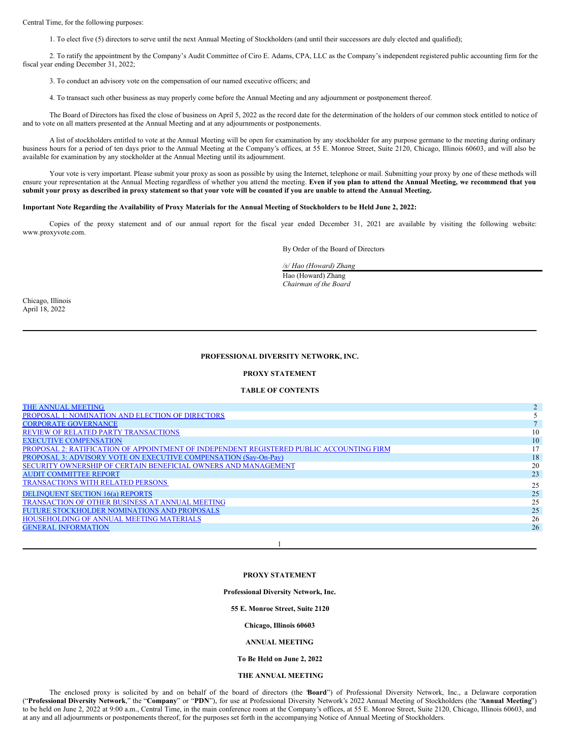Central Time, for the following purposes:

1. To elect five (5) directors to serve until the next Annual Meeting of Stockholders (and until their successors are duly elected and qualified);

2. To ratify the appointment by the Company's Audit Committee of Ciro E. Adams, CPA, LLC as the Company's independent registered public accounting firm for the fiscal year ending December 31, 2022;

3. To conduct an advisory vote on the compensation of our named executive officers; and

4. To transact such other business as may properly come before the Annual Meeting and any adjournment or postponement thereof.

The Board of Directors has fixed the close of business on April 5, 2022 as the record date for the determination of the holders of our common stock entitled to notice of and to vote on all matters presented at the Annual Meeting and at any adjournments or postponements.

A list of stockholders entitled to vote at the Annual Meeting will be open for examination by any stockholder for any purpose germane to the meeting during ordinary business hours for a period of ten days prior to the Annual Meeting at the Company's offices, at 55 E. Monroe Street, Suite 2120, Chicago, Illinois 60603, and will also be available for examination by any stockholder at the Annual Meeting until its adjournment.

Your vote is very important. Please submit your proxy as soon as possible by using the Internet, telephone or mail. Submitting your proxy by one of these methods will ensure your representation at the Annual Meeting regardless of whether you attend the meeting. Even if you plan to attend the Annual Meeting, we recommend that you submit your proxy as described in proxy statement so that your vote will be counted if you are unable to attend the Annual Meeting.

# Important Note Regarding the Availability of Proxy Materials for the Annual Meeting of Stockholders to be Held June 2, 2022:

Copies of the proxy statement and of our annual report for the fiscal year ended December 31, 2021 are available by visiting the following website: www.proxyvote.com.

By Order of the Board of Directors

*/s/ Hao (Howard) Zhang*

Hao (Howard) Zhang *Chairman of the Board*

Chicago, Illinois April 18, 2022

### **PROFESSIONAL DIVERSITY NETWORK, INC.**

## **PROXY STATEMENT**

## **TABLE OF CONTENTS**

| THE ANNUAL MEETING                                                                       |    |
|------------------------------------------------------------------------------------------|----|
| <b>PROPOSAL 1: NOMINATION AND ELECTION OF DIRECTORS</b>                                  |    |
| <b>CORPORATE GOVERNANCE</b>                                                              |    |
| <b>REVIEW OF RELATED PARTY TRANSACTIONS</b>                                              | 10 |
| <b>EXECUTIVE COMPENSATION</b>                                                            | 10 |
| PROPOSAL 2: RATIFICATION OF APPOINTMENT OF INDEPENDENT REGISTERED PUBLIC ACCOUNTING FIRM | 17 |
| PROPOSAL 3: ADVISORY VOTE ON EXECUTIVE COMPENSATION (Say-On-Pay)                         | 18 |
| SECURITY OWNERSHIP OF CERTAIN BENEFICIAL OWNERS AND MANAGEMENT                           | 20 |
| <b>AUDIT COMMITTEE REPORT</b>                                                            | 23 |
| <b>TRANSACTIONS WITH RELATED PERSONS</b>                                                 | 25 |
| <b>DELINQUENT SECTION 16(a) REPORTS</b>                                                  | 25 |
| <b>TRANSACTION OF OTHER BUSINESS AT ANNUAL MEETING</b>                                   | 25 |
| FUTURE STOCKHOLDER NOMINATIONS AND PROPOSALS                                             | 25 |
| HOUSEHOLDING OF ANNUAL MEETING MATERIALS                                                 | 26 |
| <b>GENERAL INFORMATION</b>                                                               | 26 |
|                                                                                          |    |

# **PROXY STATEMENT**

1

**Professional Diversity Network, Inc.**

## **55 E. Monroe Street, Suite 2120**

**Chicago, Illinois 60603**

#### **ANNUAL MEETING**

#### **To Be Held on June 2, 2022**

### <span id="page-1-0"></span>**THE ANNUAL MEETING**

The enclosed proxy is solicited by and on behalf of the board of directors (the "**Board**") of Professional Diversity Network, Inc., a Delaware corporation ("**Professional Diversity Network**," the "**Company**" or "**PDN**"), for use at Professional Diversity Network's 2022 Annual Meeting of Stockholders (the "**Annual Meeting**") to be held on June 2, 2022 at 9:00 a.m., Central Time, in the main conference room at the Company's offices, at 55 E. Monroe Street, Suite 2120, Chicago, Illinois 60603, and at any and all adjournments or postponements thereof, for the purposes set forth in the accompanying Notice of Annual Meeting of Stockholders.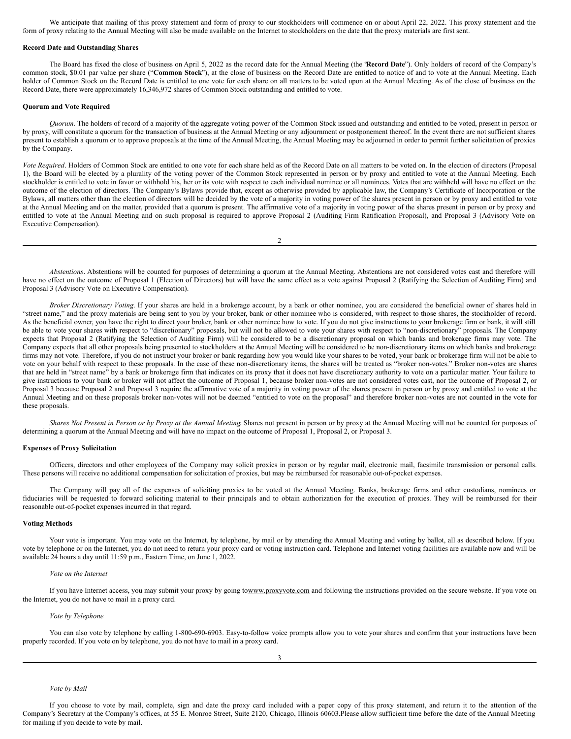We anticipate that mailing of this proxy statement and form of proxy to our stockholders will commence on or about April 22, 2022. This proxy statement and the form of proxy relating to the Annual Meeting will also be made available on the Internet to stockholders on the date that the proxy materials are first sent.

## **Record Date and Outstanding Shares**

The Board has fixed the close of business on April 5, 2022 as the record date for the Annual Meeting (the "**Record Date**"). Only holders of record of the Company's common stock, \$0.01 par value per share ("**Common Stock**"), at the close of business on the Record Date are entitled to notice of and to vote at the Annual Meeting. Each holder of Common Stock on the Record Date is entitled to one vote for each share on all matters to be voted upon at the Annual Meeting. As of the close of business on the Record Date, there were approximately 16,346,972 shares of Common Stock outstanding and entitled to vote.

## **Quorum and Vote Required**

*Quorum*. The holders of record of a majority of the aggregate voting power of the Common Stock issued and outstanding and entitled to be voted, present in person or by proxy, will constitute a quorum for the transaction of business at the Annual Meeting or any adjournment or postponement thereof. In the event there are not sufficient shares present to establish a quorum or to approve proposals at the time of the Annual Meeting, the Annual Meeting may be adjourned in order to permit further solicitation of proxies by the Company.

*Vote Required*. Holders of Common Stock are entitled to one vote for each share held as of the Record Date on all matters to be voted on. In the election of directors (Proposal 1), the Board will be elected by a plurality of the voting power of the Common Stock represented in person or by proxy and entitled to vote at the Annual Meeting. Each stockholder is entitled to vote in favor or withhold his, her or its vote with respect to each individual nominee or all nominees. Votes that are withheld will have no effect on the outcome of the election of directors. The Company's Bylaws provide that, except as otherwise provided by applicable law, the Company's Certificate of Incorporation or the Bylaws, all matters other than the election of directors will be decided by the vote of a majority in voting power of the shares present in person or by proxy and entitled to vote at the Annual Meeting and on the matter, provided that a quorum is present. The affirmative vote of a majority in voting power of the shares present in person or by proxy and entitled to vote at the Annual Meeting and on such proposal is required to approve Proposal 2 (Auditing Firm Ratification Proposal), and Proposal 3 (Advisory Vote on Executive Compensation).

2

*Abstentions*. Abstentions will be counted for purposes of determining a quorum at the Annual Meeting. Abstentions are not considered votes cast and therefore will have no effect on the outcome of Proposal 1 (Election of Directors) but will have the same effect as a vote against Proposal 2 (Ratifying the Selection of Auditing Firm) and Proposal 3 (Advisory Vote on Executive Compensation).

*Broker Discretionary Voting*. If your shares are held in a brokerage account, by a bank or other nominee, you are considered the beneficial owner of shares held in "street name," and the proxy materials are being sent to you by your broker, bank or other nominee who is considered, with respect to those shares, the stockholder of record. As the beneficial owner, you have the right to direct your broker, bank or other nominee how to vote. If you do not give instructions to your brokerage firm or bank, it will still be able to vote your shares with respect to "discretionary" proposals, but will not be allowed to vote your shares with respect to "non-discretionary" proposals. The Company expects that Proposal 2 (Ratifying the Selection of Auditing Firm) will be considered to be a discretionary proposal on which banks and brokerage firms may vote. The Company expects that all other proposals being presented to stockholders at the Annual Meeting will be considered to be non-discretionary items on which banks and brokerage firms may not vote. Therefore, if you do not instruct your broker or bank regarding how you would like your shares to be voted, your bank or brokerage firm will not be able to vote on your behalf with respect to these proposals. In the case of these non-discretionary items, the shares will be treated as "broker non-votes." Broker non-votes are shares that are held in "street name" by a bank or brokerage firm that indicates on its proxy that it does not have discretionary authority to vote on a particular matter. Your failure to give instructions to your bank or broker will not affect the outcome of Proposal 1, because broker non-votes are not considered votes cast, nor the outcome of Proposal 2, or Proposal 3 because Proposal 2 and Proposal 3 require the affirmative vote of a majority in voting power of the shares present in person or by proxy and entitled to vote at the Annual Meeting and on these proposals broker non-votes will not be deemed "entitled to vote on the proposal" and therefore broker non-votes are not counted in the vote for these proposals.

Shares Not Present in Person or by Proxy at the Annual Meeting. Shares not present in person or by proxy at the Annual Meeting will not be counted for purposes of determining a quorum at the Annual Meeting and will have no impact on the outcome of Proposal 1, Proposal 2, or Proposal 3.

#### **Expenses of Proxy Solicitation**

Officers, directors and other employees of the Company may solicit proxies in person or by regular mail, electronic mail, facsimile transmission or personal calls. These persons will receive no additional compensation for solicitation of proxies, but may be reimbursed for reasonable out-of-pocket expenses.

The Company will pay all of the expenses of soliciting proxies to be voted at the Annual Meeting. Banks, brokerage firms and other custodians, nominees or fiduciaries will be requested to forward soliciting material to their principals and to obtain authorization for the execution of proxies. They will be reimbursed for their reasonable out-of-pocket expenses incurred in that regard.

#### **Voting Methods**

Your vote is important. You may vote on the Internet, by telephone, by mail or by attending the Annual Meeting and voting by ballot, all as described below. If you vote by telephone or on the Internet, you do not need to return your proxy card or voting instruction card. Telephone and Internet voting facilities are available now and will be available 24 hours a day until 11:59 p.m., Eastern Time, on June 1, 2022.

## *Vote on the Internet*

If you have Internet access, you may submit your proxy by going towww.proxyvote.com and following the instructions provided on the secure website. If you vote on the Internet, you do not have to mail in a proxy card.

# *Vote by Telephone*

You can also vote by telephone by calling 1-800-690-6903. Easy-to-follow voice prompts allow you to vote your shares and confirm that your instructions have been properly recorded. If you vote on by telephone, you do not have to mail in a proxy card.

#### *Vote by Mail*

If you choose to vote by mail, complete, sign and date the proxy card included with a paper copy of this proxy statement, and return it to the attention of the Company's Secretary at the Company's offices, at 55 E. Monroe Street, Suite 2120, Chicago, Illinois 60603.Please allow sufficient time before the date of the Annual Meeting for mailing if you decide to vote by mail.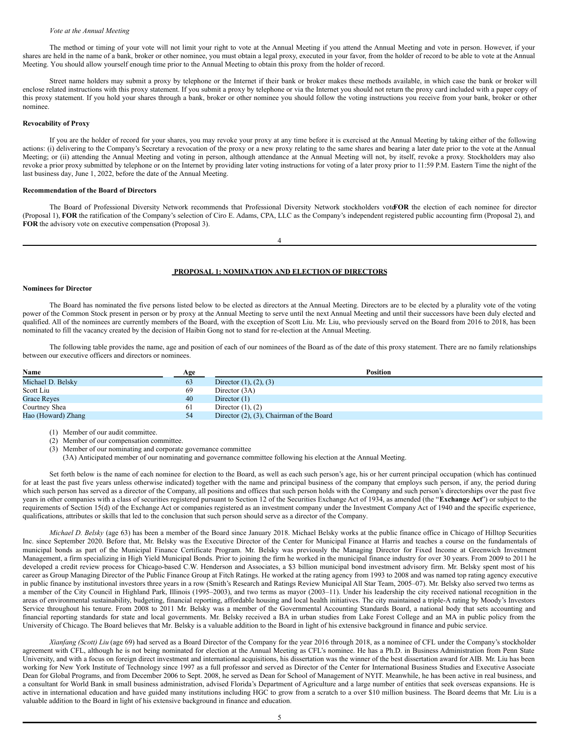### *Vote at the Annual Meeting*

The method or timing of your vote will not limit your right to vote at the Annual Meeting if you attend the Annual Meeting and vote in person. However, if your shares are held in the name of a bank, broker or other nominee, you must obtain a legal proxy, executed in your favor, from the holder of record to be able to vote at the Annual Meeting. You should allow yourself enough time prior to the Annual Meeting to obtain this proxy from the holder of record.

Street name holders may submit a proxy by telephone or the Internet if their bank or broker makes these methods available, in which case the bank or broker will enclose related instructions with this proxy statement. If you submit a proxy by telephone or via the Internet you should not return the proxy card included with a paper copy of this proxy statement. If you hold your shares through a bank, broker or other nominee you should follow the voting instructions you receive from your bank, broker or other nominee.

# **Revocability of Proxy**

If you are the holder of record for your shares, you may revoke your proxy at any time before it is exercised at the Annual Meeting by taking either of the following actions: (i) delivering to the Company's Secretary a revocation of the proxy or a new proxy relating to the same shares and bearing a later date prior to the vote at the Annual Meeting; or (ii) attending the Annual Meeting and voting in person, although attendance at the Annual Meeting will not, by itself, revoke a proxy. Stockholders may also revoke a prior proxy submitted by telephone or on the Internet by providing later voting instructions for voting of a later proxy prior to 11:59 P.M. Eastern Time the night of the last business day, June 1, 2022, before the date of the Annual Meeting.

## **Recommendation of the Board of Directors**

The Board of Professional Diversity Network recommends that Professional Diversity Network stockholders vote**FOR** the election of each nominee for director (Proposal 1), **FOR** the ratification of the Company's selection of Ciro E. Adams, CPA, LLC as the Company's independent registered public accounting firm (Proposal 2), and **FOR** the advisory vote on executive compensation (Proposal 3).

4

# <span id="page-3-0"></span>**PROPOSAL 1: NOMINATION AND ELECTION OF DIRECTORS**

### **Nominees for Director**

The Board has nominated the five persons listed below to be elected as directors at the Annual Meeting. Directors are to be elected by a plurality vote of the voting power of the Common Stock present in person or by proxy at the Annual Meeting to serve until the next Annual Meeting and until their successors have been duly elected and qualified. All of the nominees are currently members of the Board, with the exception of Scott Liu. Mr. Liu, who previously served on the Board from 2016 to 2018, has been nominated to fill the vacancy created by the decision of Haibin Gong not to stand for re-election at the Annual Meeting.

The following table provides the name, age and position of each of our nominees of the Board as of the date of this proxy statement. There are no family relationships between our executive officers and directors or nominees.

| Name               | Age | <b>Position</b>                                |
|--------------------|-----|------------------------------------------------|
| Michael D. Belsky  | 63  | Director $(1)$ , $(2)$ , $(3)$                 |
| Scott Liu          | 69  | Director (3A)                                  |
| <b>Grace Reves</b> | 40  | Director $(1)$                                 |
| Courtney Shea      | 61  | Director $(1)$ , $(2)$                         |
| Hao (Howard) Zhang | 54  | Director $(2)$ , $(3)$ , Chairman of the Board |

(1) Member of our audit committee.

- (2) Member of our compensation committee.
- (3) Member of our nominating and corporate governance committee
	- (3A) Anticipated member of our nominating and governance committee following his election at the Annual Meeting.

Set forth below is the name of each nominee for election to the Board, as well as each such person's age, his or her current principal occupation (which has continued for at least the past five years unless otherwise indicated) together with the name and principal business of the company that employs such person, if any, the period during which such person has served as a director of the Company, all positions and offices that such person holds with the Company and such person's directorships over the past five years in other companies with a class of securities registered pursuant to Section 12 of the Securities Exchange Act of 1934, as amended (the "**Exchange Act**") or subject to the requirements of Section 15(d) of the Exchange Act or companies registered as an investment company under the Investment Company Act of 1940 and the specific experience, qualifications, attributes or skills that led to the conclusion that such person should serve as a director of the Company.

*Michael D. Belsky* (age 63) has been a member of the Board since January 2018. Michael Belsky works at the public finance office in Chicago of Hilltop Securities Inc. since September 2020. Before that, Mr. Belsky was the Executive Director of the Center for Municipal Finance at Harris and teaches a course on the fundamentals of municipal bonds as part of the Municipal Finance Certificate Program. Mr. Belsky was previously the Managing Director for Fixed Income at Greenwich Investment Management, a firm specializing in High Yield Municipal Bonds. Prior to joining the firm he worked in the municipal finance industry for over 30 years. From 2009 to 2011 he developed a credit review process for Chicago-based C.W. Henderson and Associates, a \$3 billion municipal bond investment advisory firm. Mr. Belsky spent most of his career as Group Managing Director of the Public Finance Group at Fitch Ratings. He worked at the rating agency from 1993 to 2008 and was named top rating agency executive in public finance by institutional investors three years in a row (Smith's Research and Ratings Review Municipal All Star Team, 2005–07). Mr. Belsky also served two terms as a member of the City Council in Highland Park, Illinois (1995–2003), and two terms as mayor (2003–11). Under his leadership the city received national recognition in the areas of environmental sustainability, budgeting, financial reporting, affordable housing and local health initiatives. The city maintained a triple-A rating by Moody's Investors Service throughout his tenure. From 2008 to 2011 Mr. Belsky was a member of the Governmental Accounting Standards Board, a national body that sets accounting and financial reporting standards for state and local governments. Mr. Belsky received a BA in urban studies from Lake Forest College and an MA in public policy from the University of Chicago. The Board believes that Mr. Belsky is a valuable addition to the Board in light of his extensive background in finance and pubic service.

*Xianfang (Scott) Liu* (age 69) had served as a Board Director of the Company for the year 2016 through 2018, as a nominee of CFL under the Company's stockholder agreement with CFL, although he is not being nominated for election at the Annual Meeting as CFL's nominee. He has a Ph.D. in Business Administration from Penn State University, and with a focus on foreign direct investment and international acquisitions, his dissertation was the winner of the best dissertation award for AIB. Mr. Liu has been working for New York Institute of Technology since 1997 as a full professor and served as Director of the Center for International Business Studies and Executive Associate Dean for Global Programs, and from December 2006 to Sept. 2008, he served as Dean for School of Management of NYIT. Meanwhile, he has been active in real business, and a consultant for World Bank in small business administration, advised Florida's Department of Agriculture and a large number of entities that seek overseas expansions. He is active in international education and have guided many institutions including HGC to grow from a scratch to a over \$10 million business. The Board deems that Mr. Liu is a valuable addition to the Board in light of his extensive background in finance and education.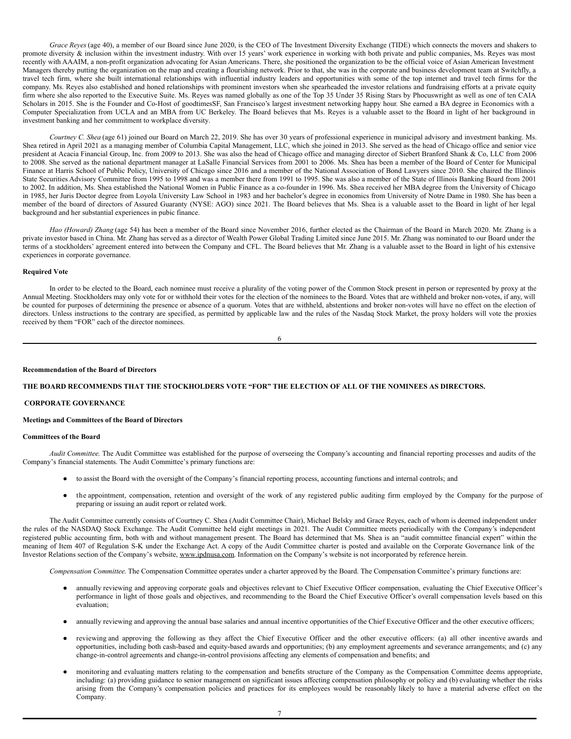*Grace Reyes* (age 40), a member of our Board since June 2020, is the CEO of The Investment Diversity Exchange (TIDE) which connects the movers and shakers to promote diversity & inclusion within the investment industry. With over 15 years' work experience in working with both private and public companies, Ms. Reyes was most recently with AAAIM, a non-profit organization advocating for Asian Americans. There, she positioned the organization to be the official voice of Asian American Investment Managers thereby putting the organization on the map and creating a flourishing network. Prior to that, she was in the corporate and business development team at Switchfly, a travel tech firm, where she built international relationships with influential industry leaders and opportunities with some of the top internet and travel tech firms for the company. Ms. Reyes also established and honed relationships with prominent investors when she spearheaded the investor relations and fundraising efforts at a private equity firm where she also reported to the Executive Suite. Ms. Reyes was named globally as one of the Top 35 Under 35 Rising Stars by Phocuswright as well as one of ten CAIA Scholars in 2015. She is the Founder and Co-Host of goodtimesSF, San Francisco's largest investment networking happy hour. She earned a BA degree in Economics with a Computer Specialization from UCLA and an MBA from UC Berkeley. The Board believes that Ms. Reyes is a valuable asset to the Board in light of her background in investment banking and her commitment to workplace diversity.

*Courtney C. Shea* (age 61) joined our Board on March 22, 2019. She has over 30 years of professional experience in municipal advisory and investment banking. Ms. Shea retired in April 2021 as a managing member of Columbia Capital Management, LLC, which she joined in 2013. She served as the head of Chicago office and senior vice president at Acacia Financial Group, Inc. from 2009 to 2013. She was also the head of Chicago office and managing director of Siebert Branford Shank & Co, LLC from 2006 to 2008. She served as the national department manager at LaSalle Financial Services from 2001 to 2006. Ms. Shea has been a member of the Board of Center for Municipal Finance at Harris School of Public Policy, University of Chicago since 2016 and a member of the National Association of Bond Lawyers since 2010. She chaired the Illinois State Securities Advisory Committee from 1995 to 1998 and was a member there from 1991 to 1995. She was also a member of the State of Illinois Banking Board from 2001 to 2002. In addition, Ms. Shea established the National Women in Public Finance as a co-founder in 1996. Ms. Shea received her MBA degree from the University of Chicago in 1985, her Juris Doctor degree from Loyola University Law School in 1983 and her bachelor's degree in economics from University of Notre Dame in 1980. She has been a member of the board of directors of Assured Guaranty (NYSE: AGO) since 2021. The Board believes that Ms. Shea is a valuable asset to the Board in light of her legal background and her substantial experiences in pubic finance.

*Hao (Howard) Zhang* (age 54) has been a member of the Board since November 2016, further elected as the Chairman of the Board in March 2020. Mr. Zhang is a private investor based in China. Mr. Zhang has served as a director of Wealth Power Global Trading Limited since June 2015. Mr. Zhang was nominated to our Board under the terms of a stockholders' agreement entered into between the Company and CFL. The Board believes that Mr. Zhang is a valuable asset to the Board in light of his extensive experiences in corporate governance.

# **Required Vote**

In order to be elected to the Board, each nominee must receive a plurality of the voting power of the Common Stock present in person or represented by proxy at the Annual Meeting. Stockholders may only vote for or withhold their votes for the election of the nominees to the Board. Votes that are withheld and broker non-votes, if any, will be counted for purposes of determining the presence or absence of a quorum. Votes that are withheld, abstentions and broker non-votes will have no effect on the election of directors. Unless instructions to the contrary are specified, as permitted by applicable law and the rules of the Nasdaq Stock Market, the proxy holders will vote the proxies received by them "FOR" each of the director nominees.

6

## **Recommendation of the Board of Directors**

## **THE BOARD RECOMMENDS THAT THE STOCKHOLDERS VOTE "FOR" THE ELECTION OF ALL OF THE NOMINEES AS DIRECTORS.**

# <span id="page-4-0"></span>**CORPORATE GOVERNANCE**

## **Meetings and Committees of the Board of Directors**

## **Committees of the Board**

*Audit Committee*. The Audit Committee was established for the purpose of overseeing the Company's accounting and financial reporting processes and audits of the Company's financial statements. The Audit Committee's primary functions are:

- to assist the Board with the oversight of the Company's financial reporting process, accounting functions and internal controls; and
- the appointment, compensation, retention and oversight of the work of any registered public auditing firm employed by the Company for the purpose of preparing or issuing an audit report or related work.

The Audit Committee currently consists of Courtney C. Shea (Audit Committee Chair), Michael Belsky and Grace Reyes, each of whom is deemed independent under the rules of the NASDAQ Stock Exchange. The Audit Committee held eight meetings in 2021. The Audit Committee meets periodically with the Company's independent registered public accounting firm, both with and without management present. The Board has determined that Ms. Shea is an "audit committee financial expert" within the meaning of Item 407 of Regulation S-K under the Exchange Act. A copy of the Audit Committee charter is posted and available on the Corporate Governance link of the Investor Relations section of the Company's website, www.ipdnusa.com. Information on the Company's website is not incorporated by reference herein.

*Compensation Committee*. The Compensation Committee operates under a charter approved by the Board. The Compensation Committee's primary functions are:

- annually reviewing and approving corporate goals and objectives relevant to Chief Executive Officer compensation, evaluating the Chief Executive Officer's performance in light of those goals and objectives, and recommending to the Board the Chief Executive Officer's overall compensation levels based on this evaluation;
- annually reviewing and approving the annual base salaries and annual incentive opportunities of the Chief Executive Officer and the other executive officers;
- reviewing and approving the following as they affect the Chief Executive Officer and the other executive officers: (a) all other incentive awards and opportunities, including both cash-based and equity-based awards and opportunities; (b) any employment agreements and severance arrangements; and (c) any change-in-control agreements and change-in-control provisions affecting any elements of compensation and benefits; and
- monitoring and evaluating matters relating to the compensation and benefits structure of the Company as the Compensation Committee deems appropriate, including: (a) providing guidance to senior management on significant issues affecting compensation philosophy or policy and (b) evaluating whether the risks arising from the Company's compensation policies and practices for its employees would be reasonably likely to have a material adverse effect on the Company.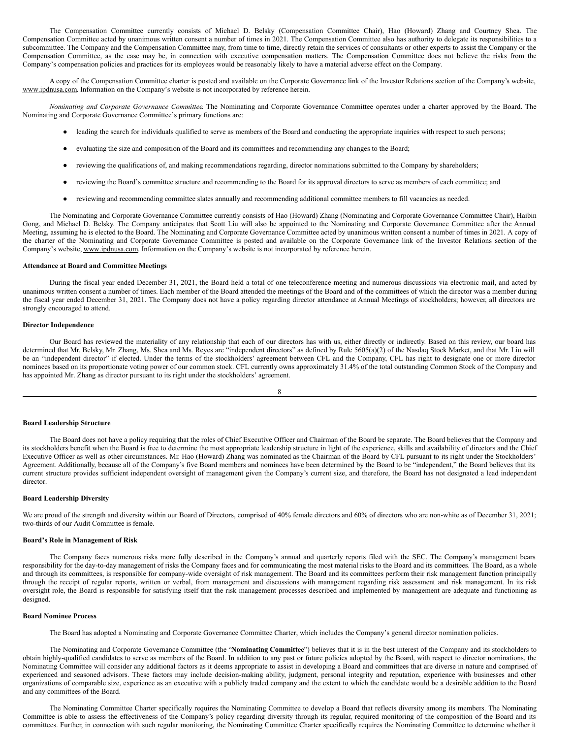The Compensation Committee currently consists of Michael D. Belsky (Compensation Committee Chair), Hao (Howard) Zhang and Courtney Shea. The Compensation Committee acted by unanimous written consent a number of times in 2021. The Compensation Committee also has authority to delegate its responsibilities to a subcommittee. The Company and the Compensation Committee may, from time to time, directly retain the services of consultants or other experts to assist the Company or the Compensation Committee, as the case may be, in connection with executive compensation matters. The Compensation Committee does not believe the risks from the Company's compensation policies and practices for its employees would be reasonably likely to have a material adverse effect on the Company.

A copy of the Compensation Committee charter is posted and available on the Corporate Governance link of the Investor Relations section of the Company's website, www.ipdnusa.com*.* Information on the Company's website is not incorporated by reference herein.

*Nominating and Corporate Governance Committee*. The Nominating and Corporate Governance Committee operates under a charter approved by the Board. The Nominating and Corporate Governance Committee's primary functions are:

- leading the search for individuals qualified to serve as members of the Board and conducting the appropriate inquiries with respect to such persons;
- evaluating the size and composition of the Board and its committees and recommending any changes to the Board;
- reviewing the qualifications of, and making recommendations regarding, director nominations submitted to the Company by shareholders;
- reviewing the Board's committee structure and recommending to the Board for its approval directors to serve as members of each committee; and
- reviewing and recommending committee slates annually and recommending additional committee members to fill vacancies as needed.

The Nominating and Corporate Governance Committee currently consists of Hao (Howard) Zhang (Nominating and Corporate Governance Committee Chair), Haibin Gong, and Michael D. Belsky. The Company anticipates that Scott Liu will also be appointed to the Nominating and Corporate Governance Committee after the Annual Meeting, assuming he is elected to the Board. The Nominating and Corporate Governance Committee acted by unanimous written consent a number of times in 2021. A copy of the charter of the Nominating and Corporate Governance Committee is posted and available on the Corporate Governance link of the Investor Relations section of the Company's website, www.ipdnusa.com. Information on the Company's website is not incorporated by reference herein.

## **Attendance at Board and Committee Meetings**

During the fiscal year ended December 31, 2021, the Board held a total of one teleconference meeting and numerous discussions via electronic mail, and acted by unanimous written consent a number of times. Each member of the Board attended the meetings of the Board and of the committees of which the director was a member during the fiscal year ended December 31, 2021. The Company does not have a policy regarding director attendance at Annual Meetings of stockholders; however, all directors are strongly encouraged to attend.

## **Director Independence**

Our Board has reviewed the materiality of any relationship that each of our directors has with us, either directly or indirectly. Based on this review, our board has determined that Mr. Belsky, Mr. Zhang, Ms. Shea and Ms. Reyes are "independent directors" as defined by Rule 5605(a)(2) of the Nasdaq Stock Market, and that Mr. Liu will be an "independent director" if elected. Under the terms of the stockholders' agreement between CFL and the Company, CFL has right to designate one or more director nominees based on its proportionate voting power of our common stock. CFL currently owns approximately 31.4% of the total outstanding Common Stock of the Company and has appointed Mr. Zhang as director pursuant to its right under the stockholders' agreement.

#### 8

### **Board Leadership Structure**

The Board does not have a policy requiring that the roles of Chief Executive Officer and Chairman of the Board be separate. The Board believes that the Company and its stockholders benefit when the Board is free to determine the most appropriate leadership structure in light of the experience, skills and availability of directors and the Chief Executive Officer as well as other circumstances. Mr. Hao (Howard) Zhang was nominated as the Chairman of the Board by CFL pursuant to its right under the Stockholders' Agreement. Additionally, because all of the Company's five Board members and nominees have been determined by the Board to be "independent," the Board believes that its current structure provides sufficient independent oversight of management given the Company's current size, and therefore, the Board has not designated a lead independent director.

#### **Board Leadership Diversity**

We are proud of the strength and diversity within our Board of Directors, comprised of 40% female directors and 60% of directors who are non-white as of December 31, 2021; two-thirds of our Audit Committee is female.

## **Board's Role in Management of Risk**

The Company faces numerous risks more fully described in the Company's annual and quarterly reports filed with the SEC. The Company's management bears responsibility for the day-to-day management of risks the Company faces and for communicating the most material risks to the Board and its committees. The Board, as a whole and through its committees, is responsible for company-wide oversight of risk management. The Board and its committees perform their risk management function principally through the receipt of regular reports, written or verbal, from management and discussions with management regarding risk assessment and risk management. In its risk oversight role, the Board is responsible for satisfying itself that the risk management processes described and implemented by management are adequate and functioning as designed.

## **Board Nominee Process**

The Board has adopted a Nominating and Corporate Governance Committee Charter, which includes the Company's general director nomination policies.

The Nominating and Corporate Governance Committee (the "**Nominating Committee**") believes that it is in the best interest of the Company and its stockholders to obtain highly-qualified candidates to serve as members of the Board. In addition to any past or future policies adopted by the Board, with respect to director nominations, the Nominating Committee will consider any additional factors as it deems appropriate to assist in developing a Board and committees that are diverse in nature and comprised of experienced and seasoned advisors. These factors may include decision-making ability, judgment, personal integrity and reputation, experience with businesses and other organizations of comparable size, experience as an executive with a publicly traded company and the extent to which the candidate would be a desirable addition to the Board and any committees of the Board.

The Nominating Committee Charter specifically requires the Nominating Committee to develop a Board that reflects diversity among its members. The Nominating Committee is able to assess the effectiveness of the Company's policy regarding diversity through its regular, required monitoring of the composition of the Board and its committees. Further, in connection with such regular monitoring, the Nominating Committee Charter specifically requires the Nominating Committee to determine whether it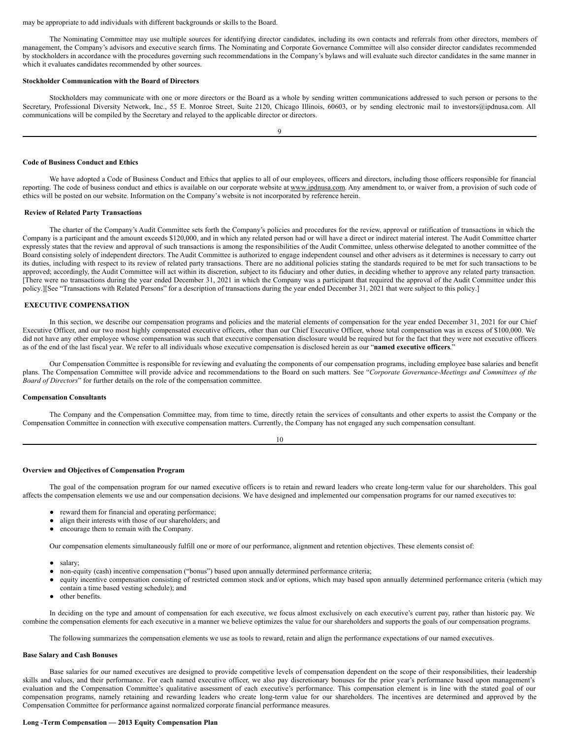#### may be appropriate to add individuals with different backgrounds or skills to the Board.

The Nominating Committee may use multiple sources for identifying director candidates, including its own contacts and referrals from other directors, members of management, the Company's advisors and executive search firms. The Nominating and Corporate Governance Committee will also consider director candidates recommended by stockholders in accordance with the procedures governing such recommendations in the Company's bylaws and will evaluate such director candidates in the same manner in which it evaluates candidates recommended by other sources.

## **Stockholder Communication with the Board of Directors**

Stockholders may communicate with one or more directors or the Board as a whole by sending written communications addressed to such person or persons to the Secretary, Professional Diversity Network, Inc., 55 E. Monroe Street, Suite 2120, Chicago Illinois, 60603, or by sending electronic mail to investors@ipdnusa.com. All communications will be compiled by the Secretary and relayed to the applicable director or directors.

9

#### **Code of Business Conduct and Ethics**

We have adopted a Code of Business Conduct and Ethics that applies to all of our employees, officers and directors, including those officers responsible for financial reporting. The code of business conduct and ethics is available on our corporate website at www.ipdnusa.com. Any amendment to, or waiver from, a provision of such code of ethics will be posted on our website. Information on the Company's website is not incorporated by reference herein.

#### <span id="page-6-0"></span>**Review of Related Party Transactions**

The charter of the Company's Audit Committee sets forth the Company's policies and procedures for the review, approval or ratification of transactions in which the Company is a participant and the amount exceeds \$120,000, and in which any related person had or will have a direct or indirect material interest. The Audit Committee charter expressly states that the review and approval of such transactions is among the responsibilities of the Audit Committee, unless otherwise delegated to another committee of the Board consisting solely of independent directors. The Audit Committee is authorized to engage independent counsel and other advisers as it determines is necessary to carry out its duties, including with respect to its review of related party transactions. There are no additional policies stating the standards required to be met for such transactions to be approved; accordingly, the Audit Committee will act within its discretion, subject to its fiduciary and other duties, in deciding whether to approve any related party transaction. [There were no transactions during the year ended December 31, 2021 in which the Company was a participant that required the approval of the Audit Committee under this policy.][See "Transactions with Related Persons" for a description of transactions during the year ended December 31, 2021 that were subject to this policy.]

#### <span id="page-6-1"></span>**EXECUTIVE COMPENSATION**

In this section, we describe our compensation programs and policies and the material elements of compensation for the year ended December 31, 2021 for our Chief Executive Officer, and our two most highly compensated executive officers, other than our Chief Executive Officer, whose total compensation was in excess of \$100,000. We did not have any other employee whose compensation was such that executive compensation disclosure would be required but for the fact that they were not executive officers as of the end of the last fiscal year. We refer to all individuals whose executive compensation is disclosed herein as our "**named executive officers**."

Our Compensation Committee is responsible for reviewing and evaluating the components of our compensation programs, including employee base salaries and benefit plans. The Compensation Committee will provide advice and recommendations to the Board on such matters. See "*Corporate Governance-Meetings and Committees of the Board of Directors*" for further details on the role of the compensation committee.

### **Compensation Consultants**

The Company and the Compensation Committee may, from time to time, directly retain the services of consultants and other experts to assist the Company or the Compensation Committee in connection with executive compensation matters. Currently, the Company has not engaged any such compensation consultant.

10

# **Overview and Objectives of Compensation Program**

The goal of the compensation program for our named executive officers is to retain and reward leaders who create long-term value for our shareholders. This goal affects the compensation elements we use and our compensation decisions. We have designed and implemented our compensation programs for our named executives to:

- reward them for financial and operating performance;
- align their interests with those of our shareholders; and
- encourage them to remain with the Company.

Our compensation elements simultaneously fulfill one or more of our performance, alignment and retention objectives. These elements consist of:

- salary;
- non-equity (cash) incentive compensation ("bonus") based upon annually determined performance criteria;
- equity incentive compensation consisting of restricted common stock and/or options, which may based upon annually determined performance criteria (which may contain a time based vesting schedule); and
- other benefits.

In deciding on the type and amount of compensation for each executive, we focus almost exclusively on each executive's current pay, rather than historic pay. We combine the compensation elements for each executive in a manner we believe optimizes the value for our shareholders and supports the goals of our compensation programs.

The following summarizes the compensation elements we use as tools to reward, retain and align the performance expectations of our named executives.

## **Base Salary and Cash Bonuses**

Base salaries for our named executives are designed to provide competitive levels of compensation dependent on the scope of their responsibilities, their leadership skills and values, and their performance. For each named executive officer, we also pay discretionary bonuses for the prior year's performance based upon management's evaluation and the Compensation Committee's qualitative assessment of each executive's performance. This compensation element is in line with the stated goal of our compensation programs, namely retaining and rewarding leaders who create long-term value for our shareholders. The incentives are determined and approved by the Compensation Committee for performance against normalized corporate financial performance measures.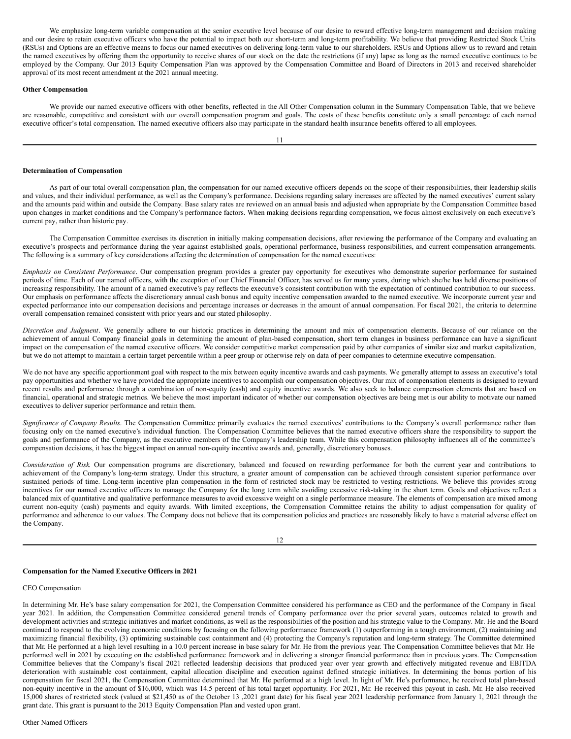We emphasize long-term variable compensation at the senior executive level because of our desire to reward effective long-term management and decision making and our desire to retain executive officers who have the potential to impact both our short-term and long-term profitability. We believe that providing Restricted Stock Units (RSUs) and Options are an effective means to focus our named executives on delivering long-term value to our shareholders. RSUs and Options allow us to reward and retain the named executives by offering them the opportunity to receive shares of our stock on the date the restrictions (if any) lapse as long as the named executive continues to be employed by the Company. Our 2013 Equity Compensation Plan was approved by the Compensation Committee and Board of Directors in 2013 and received shareholder approval of its most recent amendment at the 2021 annual meeting.

## **Other Compensation**

We provide our named executive officers with other benefits, reflected in the All Other Compensation column in the Summary Compensation Table, that we believe are reasonable, competitive and consistent with our overall compensation program and goals. The costs of these benefits constitute only a small percentage of each named executive officer's total compensation. The named executive officers also may participate in the standard health insurance benefits offered to all employees.

## **Determination of Compensation**

As part of our total overall compensation plan, the compensation for our named executive officers depends on the scope of their responsibilities, their leadership skills and values, and their individual performance, as well as the Company's performance. Decisions regarding salary increases are affected by the named executives' current salary and the amounts paid within and outside the Company. Base salary rates are reviewed on an annual basis and adjusted when appropriate by the Compensation Committee based upon changes in market conditions and the Company's performance factors. When making decisions regarding compensation, we focus almost exclusively on each executive's current pay, rather than historic pay.

The Compensation Committee exercises its discretion in initially making compensation decisions, after reviewing the performance of the Company and evaluating an executive's prospects and performance during the year against established goals, operational performance, business responsibilities, and current compensation arrangements. The following is a summary of key considerations affecting the determination of compensation for the named executives:

*Emphasis on Consistent Performance*. Our compensation program provides a greater pay opportunity for executives who demonstrate superior performance for sustained periods of time. Each of our named officers, with the exception of our Chief Financial Officer, has served us for many years, during which she/he has held diverse positions of increasing responsibility. The amount of a named executive's pay reflects the executive's consistent contribution with the expectation of continued contribution to our success. Our emphasis on performance affects the discretionary annual cash bonus and equity incentive compensation awarded to the named executive. We incorporate current year and expected performance into our compensation decisions and percentage increases or decreases in the amount of annual compensation. For fiscal 2021, the criteria to determine overall compensation remained consistent with prior years and our stated philosophy.

*Discretion and Judgment*. We generally adhere to our historic practices in determining the amount and mix of compensation elements. Because of our reliance on the achievement of annual Company financial goals in determining the amount of plan-based compensation, short term changes in business performance can have a significant impact on the compensation of the named executive officers. We consider competitive market compensation paid by other companies of similar size and market capitalization, but we do not attempt to maintain a certain target percentile within a peer group or otherwise rely on data of peer companies to determine executive compensation.

We do not have any specific apportionment goal with respect to the mix between equity incentive awards and cash payments. We generally attempt to assess an executive's total pay opportunities and whether we have provided the appropriate incentives to accomplish our compensation objectives. Our mix of compensation elements is designed to reward recent results and performance through a combination of non-equity (cash) and equity incentive awards. We also seek to balance compensation elements that are based on financial, operational and strategic metrics. We believe the most important indicator of whether our compensation objectives are being met is our ability to motivate our named executives to deliver superior performance and retain them.

*Significance of Company Results*. The Compensation Committee primarily evaluates the named executives' contributions to the Company's overall performance rather than focusing only on the named executive's individual function. The Compensation Committee believes that the named executive officers share the responsibility to support the goals and performance of the Company, as the executive members of the Company's leadership team. While this compensation philosophy influences all of the committee's compensation decisions, it has the biggest impact on annual non-equity incentive awards and, generally, discretionary bonuses.

*Consideration of Risk*. Our compensation programs are discretionary, balanced and focused on rewarding performance for both the current year and contributions to achievement of the Company's long-term strategy. Under this structure, a greater amount of compensation can be achieved through consistent superior performance over sustained periods of time. Long-term incentive plan compensation in the form of restricted stock may be restricted to vesting restrictions. We believe this provides strong incentives for our named executive officers to manage the Company for the long term while avoiding excessive risk-taking in the short term. Goals and objectives reflect a balanced mix of quantitative and qualitative performance measures to avoid excessive weight on a single performance measure. The elements of compensation are mixed among current non-equity (cash) payments and equity awards. With limited exceptions, the Compensation Committee retains the ability to adjust compensation for quality of performance and adherence to our values. The Company does not believe that its compensation policies and practices are reasonably likely to have a material adverse effect on the Company.

#### 12

# **Compensation for the Named Executive Officers in 2021**

# CEO Compensation

In determining Mr. He's base salary compensation for 2021, the Compensation Committee considered his performance as CEO and the performance of the Company in fiscal year 2021. In addition, the Compensation Committee considered general trends of Company performance over the prior several years, outcomes related to growth and development activities and strategic initiatives and market conditions, as well as the responsibilities of the position and his strategic value to the Company. Mr. He and the Board continued to respond to the evolving economic conditions by focusing on the following performance framework (1) outperforming in a tough environment, (2) maintaining and maximizing financial flexibility, (3) optimizing sustainable cost containment and (4) protecting the Company's reputation and long-term strategy. The Committee determined that Mr. He performed at a high level resulting in a 10.0 percent increase in base salary for Mr. He from the previous year. The Compensation Committee believes that Mr. He performed well in 2021 by executing on the established performance framework and in delivering a stronger financial performance than in previous years. The Compensation Committee believes that the Company's fiscal 2021 reflected leadership decisions that produced year over year growth and effectively mitigated revenue and EBITDA deterioration with sustainable cost containment, capital allocation discipline and execution against defined strategic initiatives. In determining the bonus portion of his compensation for fiscal 2021, the Compensation Committee determined that Mr. He performed at a high level. In light of Mr. He's performance, he received total plan-based non-equity incentive in the amount of \$16,000, which was 14.5 percent of his total target opportunity. For 2021, Mr. He received this payout in cash. Mr. He also received 15,000 shares of restricted stock (valued at \$21,450 as of the October 13 ,2021 grant date) for his fiscal year 2021 leadership performance from January 1, 2021 through the grant date. This grant is pursuant to the 2013 Equity Compensation Plan and vested upon grant.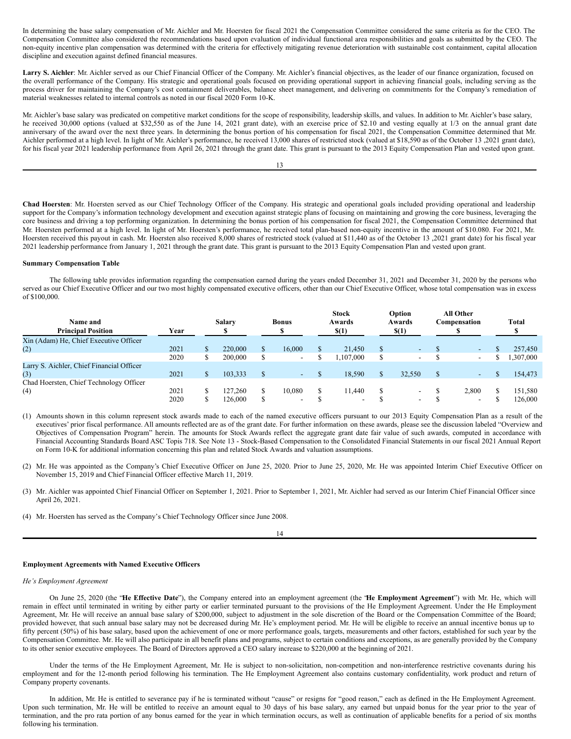In determining the base salary compensation of Mr. Aichler and Mr. Hoersten for fiscal 2021 the Compensation Committee considered the same criteria as for the CEO. The Compensation Committee also considered the recommendations based upon evaluation of individual functional area responsibilities and goals as submitted by the CEO. The non-equity incentive plan compensation was determined with the criteria for effectively mitigating revenue deterioration with sustainable cost containment, capital allocation discipline and execution against defined financial measures.

Larry S. Aichler: Mr. Aichler served as our Chief Financial Officer of the Company. Mr. Aichler's financial objectives, as the leader of our finance organization, focused on the overall performance of the Company. His strategic and operational goals focused on providing operational support in achieving financial goals, including serving as the process driver for maintaining the Company's cost containment deliverables, balance sheet management, and delivering on commitments for the Company's remediation of material weaknesses related to internal controls as noted in our fiscal 2020 Form 10-K.

Mr. Aichler's base salary was predicated on competitive market conditions for the scope of responsibility, leadership skills, and values. In addition to Mr. Aichler's base salary, he received 30,000 options (valued at \$32,550 as of the June 14, 2021 grant date), with an exercise price of \$2.10 and vesting equally at 1/3 on the annual grant date anniversary of the award over the next three years. In determining the bonus portion of his compensation for fiscal 2021, the Compensation Committee determined that Mr. Aichler performed at a high level. In light of Mr. Aichler's performance, he received 13,000 shares of restricted stock (valued at \$18,590 as of the October 13 ,2021 grant date), for his fiscal year 2021 leadership performance from April 26, 2021 through the grant date. This grant is pursuant to the 2013 Equity Compensation Plan and vested upon grant.

13

**Chad Hoersten**: Mr. Hoersten served as our Chief Technology Officer of the Company. His strategic and operational goals included providing operational and leadership support for the Company's information technology development and execution against strategic plans of focusing on maintaining and growing the core business, leveraging the core business and driving a top performing organization. In determining the bonus portion of his compensation for fiscal 2021, the Compensation Committee determined that Mr. Hoersten performed at a high level. In light of Mr. Hoersten's performance, he received total plan-based non-equity incentive in the amount of \$10.080. For 2021, Mr. Hoersten received this payout in cash. Mr. Hoersten also received 8,000 shares of restricted stock (valued at \$11,440 as of the October 13 ,2021 grant date) for his fiscal year 2021 leadership performance from January 1, 2021 through the grant date. This grant is pursuant to the 2013 Equity Compensation Plan and vested upon grant.

## **Summary Compensation Table**

The following table provides information regarding the compensation earned during the years ended December 31, 2021 and December 31, 2020 by the persons who served as our Chief Executive Officer and our two most highly compensated executive officers, other than our Chief Executive Officer, whose total compensation was in excess of \$100,000.

| Name and<br><b>Principal Position</b>     | Year |          | <b>Salary</b> | <b>Bonus</b>             | <b>Stock</b><br>Awards<br>$\$(1)$ |               | Option<br>Awards<br>$\$(1)$ |   | All Other<br>Compensation | <b>Total</b> |
|-------------------------------------------|------|----------|---------------|--------------------------|-----------------------------------|---------------|-----------------------------|---|---------------------------|--------------|
| Xin (Adam) He, Chief Executive Officer    |      |          |               |                          |                                   |               |                             |   |                           |              |
| (2)                                       | 2021 | S        | 220,000       | 16,000                   | 21,450                            | <sup>\$</sup> | $\sim$                      |   | $\sim$                    | 257,450      |
|                                           | 2020 | \$.      | 200,000       | $\overline{\phantom{0}}$ | .107.000                          |               | $\overline{\phantom{a}}$    |   | $\overline{\phantom{a}}$  | ,307,000     |
| Larry S. Aichler, Chief Financial Officer |      |          |               |                          |                                   |               |                             |   |                           |              |
| (3)                                       | 2021 | <b>D</b> | 103.333       | $\sim$                   | 18.590                            |               | 32,550                      | S | ٠                         | 154,473      |
| Chad Hoersten, Chief Technology Officer   |      |          |               |                          |                                   |               |                             |   |                           |              |
| (4)                                       | 2021 | J.       | 127.260       | 10.080                   | 11.440                            |               | $\overline{\phantom{0}}$    |   | 2.800                     | 151,580      |
|                                           | 2020 |          | 126,000       | $\overline{\phantom{0}}$ | $\overline{\phantom{a}}$          |               | $\overline{\phantom{0}}$    |   | $\overline{\phantom{0}}$  | 126,000      |

(1) Amounts shown in this column represent stock awards made to each of the named executive officers pursuant to our 2013 Equity Compensation Plan as a result of the executives' prior fiscal performance. All amounts reflected are as of the grant date. For further information on these awards, please see the discussion labeled "Overview and Objectives of Compensation Program" herein. The amounts for Stock Awards reflect the aggregate grant date fair value of such awards, computed in accordance with Financial Accounting Standards Board ASC Topis 718. See Note 13 - Stock-Based Compensation to the Consolidated Financial Statements in our fiscal 2021 Annual Report on Form 10-K for additional information concerning this plan and related Stock Awards and valuation assumptions.

- (2) Mr. He was appointed as the Company's Chief Executive Officer on June 25, 2020. Prior to June 25, 2020, Mr. He was appointed Interim Chief Executive Officer on November 15, 2019 and Chief Financial Officer effective March 11, 2019.
- (3) Mr. Aichler was appointed Chief Financial Officer on September 1, 2021. Prior to September 1, 2021, Mr. Aichler had served as our Interim Chief Financial Officer since April 26, 2021.

(4) Mr. Hoersten has served as the Company's Chief Technology Officer since June 2008.

14

# **Employment Agreements with Named Executive Officers**

#### *He's Employment Agreement*

On June 25, 2020 (the "**He Effective Date**"), the Company entered into an employment agreement (the "**He Employment Agreement**") with Mr. He, which will remain in effect until terminated in writing by either party or earlier terminated pursuant to the provisions of the He Employment Agreement. Under the He Employment Agreement, Mr. He will receive an annual base salary of \$200,000, subject to adjustment in the sole discretion of the Board or the Compensation Committee of the Board; provided however, that such annual base salary may not be decreased during Mr. He's employment period. Mr. He will be eligible to receive an annual incentive bonus up to fifty percent (50%) of his base salary, based upon the achievement of one or more performance goals, targets, measurements and other factors, established for such year by the Compensation Committee. Mr. He will also participate in all benefit plans and programs, subject to certain conditions and exceptions, as are generally provided by the Company to its other senior executive employees. The Board of Directors approved a CEO salary increase to \$220,000 at the beginning of 2021.

Under the terms of the He Employment Agreement, Mr. He is subject to non-solicitation, non-competition and non-interference restrictive covenants during his employment and for the 12-month period following his termination. The He Employment Agreement also contains customary confidentiality, work product and return of Company property covenants.

In addition, Mr. He is entitled to severance pay if he is terminated without "cause" or resigns for "good reason," each as defined in the He Employment Agreement. Upon such termination, Mr. He will be entitled to receive an amount equal to 30 days of his base salary, any earned but unpaid bonus for the year prior to the year of termination, and the pro rata portion of any bonus earned for the year in which termination occurs, as well as continuation of applicable benefits for a period of six months following his termination.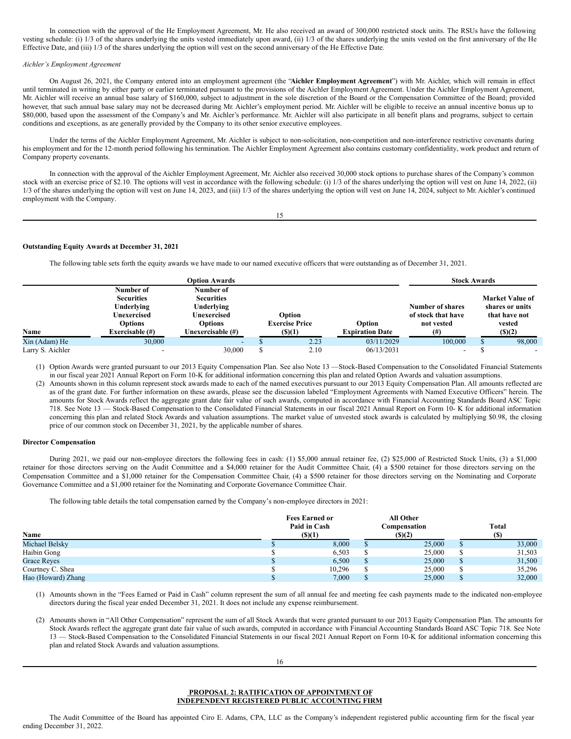In connection with the approval of the He Employment Agreement, Mr. He also received an award of 300,000 restricted stock units. The RSUs have the following vesting schedule: (i) 1/3 of the shares underlying the units vested immediately upon award, (ii) 1/3 of the shares underlying the units vested on the first anniversary of the He Effective Date, and (iii) 1/3 of the shares underlying the option will vest on the second anniversary of the He Effective Date.

## *Aichler's Employment Agreement*

On August 26, 2021, the Company entered into an employment agreement (the "**Aichler Employment Agreement**") with Mr. Aichler, which will remain in effect until terminated in writing by either party or earlier terminated pursuant to the provisions of the Aichler Employment Agreement. Under the Aichler Employment Agreement, Mr. Aichler will receive an annual base salary of \$160,000, subject to adjustment in the sole discretion of the Board or the Compensation Committee of the Board; provided however, that such annual base salary may not be decreased during Mr. Aichler's employment period. Mr. Aichler will be eligible to receive an annual incentive bonus up to \$80,000, based upon the assessment of the Company's and Mr. Aichler's performance. Mr. Aichler will also participate in all benefit plans and programs, subject to certain conditions and exceptions, as are generally provided by the Company to its other senior executive employees.

Under the terms of the Aichler Employment Agreement, Mr. Aichler is subject to non-solicitation, non-competition and non-interference restrictive covenants during his employment and for the 12-month period following his termination. The Aichler Employment Agreement also contains customary confidentiality, work product and return of Company property covenants.

In connection with the approval of the Aichler Employment Agreement, Mr. Aichler also received 30,000 stock options to purchase shares of the Company's common stock with an exercise price of \$2.10. The options will vest in accordance with the following schedule: (i) 1/3 of the shares underlying the option will vest on June 14, 2022, (ii) 1/3 of the shares underlying the option will vest on June 14, 2023, and (iii) 1/3 of the shares underlying the option will vest on June 14, 2024, subject to Mr. Aichler's continued employment with the Company.

15

## **Outstanding Equity Awards at December 31, 2021**

The following table sets forth the equity awards we have made to our named executive officers that were outstanding as of December 31, 2021.

|                  |                   | <b>Option Awards</b> |                       |                        | <b>Stock Awards</b>      |                 |
|------------------|-------------------|----------------------|-----------------------|------------------------|--------------------------|-----------------|
|                  | Number of         | Number of            |                       |                        |                          |                 |
|                  | <b>Securities</b> | <b>Securities</b>    |                       |                        |                          | Market Value of |
|                  | Underlying        | Underlying           |                       |                        | <b>Number of shares</b>  | shares or units |
|                  | Unexercised       | Unexercised          | Option                |                        | of stock that have       | that have not   |
|                  | <b>Options</b>    | <b>Options</b>       | <b>Exercise Price</b> | Option                 | not vested               | vested          |
| Name             | Exercisable (#)   | Unexercisable (#)    | $($ \$ $)(1)$         | <b>Expiration Date</b> | (# )                     | (S)(2)          |
| Xin (Adam) He    | 30,000            |                      | 2.23                  | 03/11/2029             | 100,000                  | 98,000          |
| Larry S. Aichler |                   | 30,000               | 2.10                  | 06/13/2031             | $\overline{\phantom{a}}$ |                 |

(1) Option Awards were granted pursuant to our 2013 Equity Compensation Plan. See also Note 13 —Stock-Based Compensation to the Consolidated Financial Statements in our fiscal year 2021 Annual Report on Form 10-K for additional information concerning this plan and related Option Awards and valuation assumptions.

(2) Amounts shown in this column represent stock awards made to each of the named executives pursuant to our 2013 Equity Compensation Plan. All amounts reflected are as of the grant date. For further information on these awards, please see the discussion labeled "Employment Agreements with Named Executive Officers" herein. The amounts for Stock Awards reflect the aggregate grant date fair value of such awards, computed in accordance with Financial Accounting Standards Board ASC Topic 718. See Note 13 — Stock-Based Compensation to the Consolidated Financial Statements in our fiscal 2021 Annual Report on Form 10- K for additional information concerning this plan and related Stock Awards and valuation assumptions. The market value of unvested stock awards is calculated by multiplying \$0.98, the closing price of our common stock on December 31, 2021, by the applicable number of shares.

#### **Director Compensation**

During 2021, we paid our non-employee directors the following fees in cash: (1) \$5,000 annual retainer fee, (2) \$25,000 of Restricted Stock Units, (3) a \$1,000 retainer for those directors serving on the Audit Committee and a \$4,000 retainer for the Audit Committee Chair, (4) a \$500 retainer for those directors serving on the Compensation Committee and a \$1,000 retainer for the Compensation Committee Chair, (4) a \$500 retainer for those directors serving on the Nominating and Corporate Governance Committee and a \$1,000 retainer for the Nominating and Corporate Governance Committee Chair.

The following table details the total compensation earned by the Company's non-employee directors in 2021:

| Name               | <b>Fees Earned or</b><br>Paid in Cash<br>$($ \$ $)(1)$ | <b>All Other</b><br>Compensation<br>$($ (\$) $(2)$ | Total<br>(S) |
|--------------------|--------------------------------------------------------|----------------------------------------------------|--------------|
| Michael Belsky     | 8,000                                                  | 25,000                                             | 33,000       |
| Haibin Gong        | 6,503                                                  | 25,000                                             | 31,503       |
| <b>Grace Reves</b> | 6,500                                                  | 25,000                                             | 31,500       |
| Courtney C. Shea   | 10,296                                                 | 25,000                                             | 35,296       |
| Hao (Howard) Zhang | 7,000                                                  | 25,000                                             | 32,000       |

(1) Amounts shown in the "Fees Earned or Paid in Cash" column represent the sum of all annual fee and meeting fee cash payments made to the indicated non-employee directors during the fiscal year ended December 31, 2021. It does not include any expense reimbursement.

(2) Amounts shown in "All Other Compensation" represent the sum of all Stock Awards that were granted pursuant to our 2013 Equity Compensation Plan. The amounts for Stock Awards reflect the aggregate grant date fair value of such awards, computed in accordance with Financial Accounting Standards Board ASC Topic 718. See Note 13 — Stock-Based Compensation to the Consolidated Financial Statements in our fiscal 2021 Annual Report on Form 10-K for additional information concerning this plan and related Stock Awards and valuation assumptions.

16

# <span id="page-9-0"></span>**PROPOSAL 2: RATIFICATION OF APPOINTMENT OF INDEPENDENT REGISTERED PUBLIC ACCOUNTING FIRM**

The Audit Committee of the Board has appointed Ciro E. Adams, CPA, LLC as the Company's independent registered public accounting firm for the fiscal year ending December 31, 2022.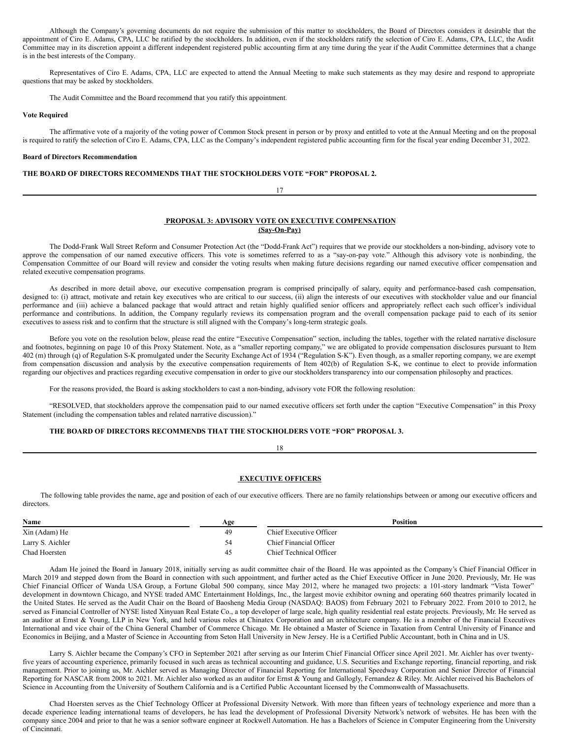Although the Company's governing documents do not require the submission of this matter to stockholders, the Board of Directors considers it desirable that the appointment of Ciro E. Adams, CPA, LLC be ratified by the stockholders. In addition, even if the stockholders ratify the selection of Ciro E. Adams, CPA, LLC, the Audit Committee may in its discretion appoint a different independent registered public accounting firm at any time during the year if the Audit Committee determines that a change is in the best interests of the Company.

Representatives of Ciro E. Adams, CPA, LLC are expected to attend the Annual Meeting to make such statements as they may desire and respond to appropriate questions that may be asked by stockholders.

The Audit Committee and the Board recommend that you ratify this appointment.

#### **Vote Required**

The affirmative vote of a majority of the voting power of Common Stock present in person or by proxy and entitled to vote at the Annual Meeting and on the proposal is required to ratify the selection of Ciro E. Adams, CPA, LLC as the Company's independent registered public accounting firm for the fiscal year ending December 31, 2022.

#### **Board of Directors Recommendation**

# **THE BOARD OF DIRECTORS RECOMMENDS THAT THE STOCKHOLDERS VOTE "FOR" PROPOSAL 2.**

#### 17

# <span id="page-10-0"></span>**PROPOSAL 3: ADVISORY VOTE ON EXECUTIVE COMPENSATION (Say-On-Pay)**

The Dodd-Frank Wall Street Reform and Consumer Protection Act (the "Dodd-Frank Act") requires that we provide our stockholders a non-binding, advisory vote to approve the compensation of our named executive officers. This vote is sometimes referred to as a "say-on-pay vote." Although this advisory vote is nonbinding, the Compensation Committee of our Board will review and consider the voting results when making future decisions regarding our named executive officer compensation and related executive compensation programs.

As described in more detail above, our executive compensation program is comprised principally of salary, equity and performance-based cash compensation, designed to: (i) attract, motivate and retain key executives who are critical to our success, (ii) align the interests of our executives with stockholder value and our financial performance and (iii) achieve a balanced package that would attract and retain highly qualified senior officers and appropriately reflect each such officer's individual performance and contributions. In addition, the Company regularly reviews its compensation program and the overall compensation package paid to each of its senior executives to assess risk and to confirm that the structure is still aligned with the Company's long-term strategic goals.

Before you vote on the resolution below, please read the entire "Executive Compensation" section, including the tables, together with the related narrative disclosure and footnotes, beginning on page 10 of this Proxy Statement. Note, as a "smaller reporting company," we are obligated to provide compensation disclosures pursuant to Item 402 (m) through (q) of Regulation S-K promulgated under the Security Exchange Act of 1934 ("Regulation S-K"). Even though, as a smaller reporting company, we are exempt from compensation discussion and analysis by the executive compensation requirements of Item 402(b) of Regulation S-K, we continue to elect to provide information regarding our objectives and practices regarding executive compensation in order to give our stockholders transparency into our compensation philosophy and practices.

For the reasons provided, the Board is asking stockholders to cast a non-binding, advisory vote FOR the following resolution:

"RESOLVED, that stockholders approve the compensation paid to our named executive officers set forth under the caption "Executive Compensation" in this Proxy Statement (including the compensation tables and related narrative discussion)."

# **THE BOARD OF DIRECTORS RECOMMENDS THAT THE STOCKHOLDERS VOTE "FOR" PROPOSAL 3.**

# 18

## **EXECUTIVE OFFICERS**

The following table provides the name, age and position of each of our executive officers. There are no family relationships between or among our executive officers and directors.

| Name             | Age | <b>Position</b>         |
|------------------|-----|-------------------------|
| Xin (Adam) He    | 49  | Chief Executive Officer |
| Larry S. Aichler | 54  | Chief Financial Officer |
| Chad Hoersten    | 45  | Chief Technical Officer |

Adam He joined the Board in January 2018, initially serving as audit committee chair of the Board. He was appointed as the Company's Chief Financial Officer in March 2019 and stepped down from the Board in connection with such appointment, and further acted as the Chief Executive Officer in June 2020. Previously, Mr. He was Chief Financial Officer of Wanda USA Group, a Fortune Global 500 company, since May 2012, where he managed two projects: a 101-story landmark "Vista Tower" development in downtown Chicago, and NYSE traded AMC Entertainment Holdings, Inc., the largest movie exhibitor owning and operating 660 theatres primarily located in the United States. He served as the Audit Chair on the Board of Baosheng Media Group (NASDAQ: BAOS) from February 2021 to February 2022. From 2010 to 2012, he served as Financial Controller of NYSE listed Xinyuan Real Estate Co., a top developer of large scale, high quality residential real estate projects. Previously, Mr. He served as an auditor at Ernst & Young, LLP in New York, and held various roles at Chinatex Corporation and an architecture company. He is a member of the Financial Executives International and vice chair of the China General Chamber of Commerce Chicago. Mr. He obtained a Master of Science in Taxation from Central University of Finance and Economics in Beijing, and a Master of Science in Accounting from Seton Hall University in New Jersey. He is a Certified Public Accountant, both in China and in US.

Larry S. Aichler became the Company's CFO in September 2021 after serving as our Interim Chief Financial Officer since April 2021. Mr. Aichler has over twentyfive years of accounting experience, primarily focused in such areas as technical accounting and guidance, U.S. Securities and Exchange reporting, financial reporting, and risk management. Prior to joining us, Mr. Aichler served as Managing Director of Financial Reporting for International Speedway Corporation and Senior Director of Financial Reporting for NASCAR from 2008 to 2021. Mr. Aichler also worked as an auditor for Ernst & Young and Gallogly, Fernandez & Riley. Mr. Aichler received his Bachelors of Science in Accounting from the University of Southern California and is a Certified Public Accountant licensed by the Commonwealth of Massachusetts.

Chad Hoersten serves as the Chief Technology Officer at Professional Diversity Network. With more than fifteen years of technology experience and more than a decade experience leading international teams of developers, he has lead the development of Professional Diversity Network's network of websites. He has been with the company since 2004 and prior to that he was a senior software engineer at Rockwell Automation. He has a Bachelors of Science in Computer Engineering from the University of Cincinnati.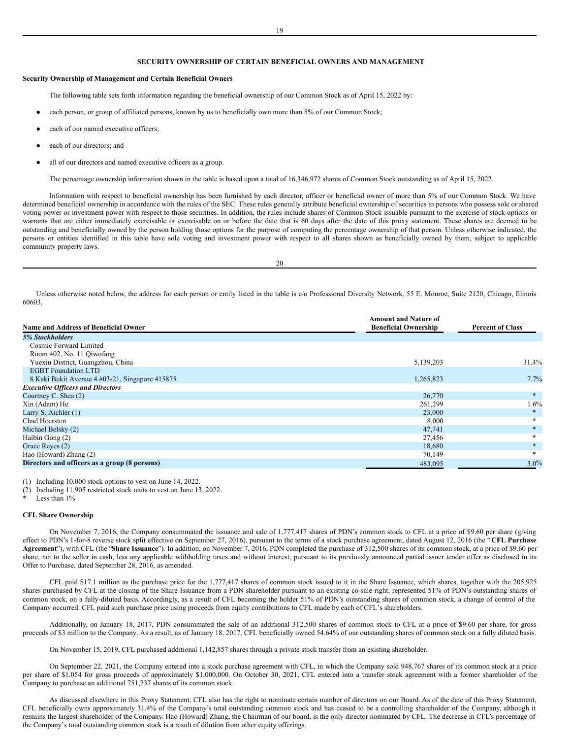# <span id="page-11-0"></span>**SECURITY OWNERSHIP OF CERTAIN BENEFICIAL OWNERS AND MANAGEMENT**

## **Security Ownership of Management and Certain Beneficial Owners**

The following table sets forth information regarding the beneficial ownership of our Common Stock as of April 15, 2022 by:

- each person, or group of affiliated persons, known by us to beneficially own more than 5% of our Common Stock;
- each of our named executive officers;
- each of our directors; and
- all of our directors and named executive officers as a group.

The percentage ownership information shown in the table is based upon a total of 16,346,972 shares of Common Stock outstanding as of April 15, 2022.

Information with respect to beneficial ownership has been furnished by each director, officer or beneficial owner of more than 5% of our Common Stock. We have determined beneficial ownership in accordance with the rules of the SEC. These rules generally attribute beneficial ownership of securities to persons who possess sole or shared voting power or investment power with respect to those securities. In addition, the rules include shares of Common Stock issuable pursuant to the exercise of stock options or warrants that are either immediately exercisable or exercisable on or before the date that is 60 days after the date of this proxy statement. These shares are deemed to be outstanding and beneficially owned by the person holding those options for the purpose of computing the percentage ownership of that person. Unless otherwise indicated, the persons or entities identified in this table have sole voting and investment power with respect to all shares shown as beneficially owned by them, subject to applicable community property laws.

20

Unless otherwise noted below, the address for each person or entity listed in the table is c/o Professional Diversity Network, 55 E. Monroe, Suite 2120, Chicago, Illinois 60603.

|                                                | <b>Amount and Nature of</b> |                         |
|------------------------------------------------|-----------------------------|-------------------------|
| Name and Address of Beneficial Owner           | <b>Beneficial Ownership</b> | <b>Percent of Class</b> |
| <b>5% Stockholders</b>                         |                             |                         |
| Cosmic Forward Limited                         |                             |                         |
| Room 402, No. 11 Qiwofang                      |                             |                         |
| Yuexiu District, Guangzhou, China              | 5,139,203                   | 31.4%                   |
| <b>EGBT</b> Foundation LTD                     |                             |                         |
| 8 Kaki Bukit Avenue 4 #03-21, Singapore 415875 | 1,265,823                   | 7.7%                    |
| <b>Executive Officers and Directors</b>        |                             |                         |
| Courtney C. Shea (2)                           | 26,770                      | $*$                     |
| Xin (Adam) He                                  | 261,299                     | $1.6\%$                 |
| Larry S. Aichler $(1)$                         | 23,000                      | $*$                     |
| Chad Hoersten                                  | 8,000                       |                         |
| Michael Belsky (2)                             | 47,741                      |                         |
| Haibin Gong (2)                                | 27,456                      |                         |
| Grace Reyes (2)                                | 18,680                      |                         |
| Hao (Howard) Zhang (2)                         | 70,149                      |                         |
| Directors and officers as a group (8 persons)  | 483,095                     | $3.0\%$                 |

(1) Including 10,000 stock options to vest on June 14, 2022.

(2) Including 11,905 restricted stock units to vest on June 13, 2022.

Less than  $1\%$ 

## **CFL Share Ownership**

On November 7, 2016, the Company consummated the issuance and sale of 1,777,417 shares of PDN's common stock to CFL at a price of \$9.60 per share (giving effect to PDN's 1-for-8 reverse stock split effective on September 27, 2016), pursuant to the terms of a stock purchase agreement, dated August 12, 2016 (the "**CFL Purchase Agreement**"), with CFL (the "**Share Issuance**"). In addition, on November 7, 2016, PDN completed the purchase of 312,500 shares of its common stock, at a price of \$9.60 per share, net to the seller in cash, less any applicable withholding taxes and without interest, pursuant to its previously announced partial issuer tender offer as disclosed in its Offer to Purchase, dated September 28, 2016, as amended.

CFL paid \$17.1 million as the purchase price for the 1,777,417 shares of common stock issued to it in the Share Issuance, which shares, together with the 205,925 shares purchased by CFL at the closing of the Share Issuance from a PDN shareholder pursuant to an existing co-sale right, represented 51% of PDN's outstanding shares of common stock, on a fully-diluted basis. Accordingly, as a result of CFL becoming the holder 51% of PDN's outstanding shares of common stock, a change of control of the Company occurred. CFL paid such purchase price using proceeds from equity contributions to CFL made by each of CFL's shareholders.

Additionally, on January 18, 2017, PDN consummated the sale of an additional 312,500 shares of common stock to CFL at a price of \$9.60 per share, for gross proceeds of \$3 million to the Company. As a result, as of January 18, 2017, CFL beneficially owned 54.64% of our outstanding shares of common stock on a fully diluted basis.

On November 15, 2019, CFL purchased additional 1,142,857 shares through a private stock transfer from an existing shareholder.

On September 22, 2021, the Company entered into a stock purchase agreement with CFL, in which the Company sold 948,767 shares of its common stock at a price per share of \$1.054 for gross proceeds of approximately \$1,000,000. On October 30, 2021, CFL entered into a transfer stock agreement with a former shareholder of the Company to purchase an additional 751,737 shares of its common stock.

As discussed elsewhere in this Proxy Statement, CFL also has the right to nominate certain number of directors on our Board. As of the date of this Proxy Statement, CFL beneficially owns approximately 31.4% of the Company's total outstanding common stock and has ceased to be a controlling shareholder of the Company, although it remains the largest shareholder of the Company. Hao (Howard) Zhang, the Chairman of our board, is the only director nominated by CFL. The decrease in CFL's percentage of the Company's total outstanding common stock is a result of dilution from other equity offerings.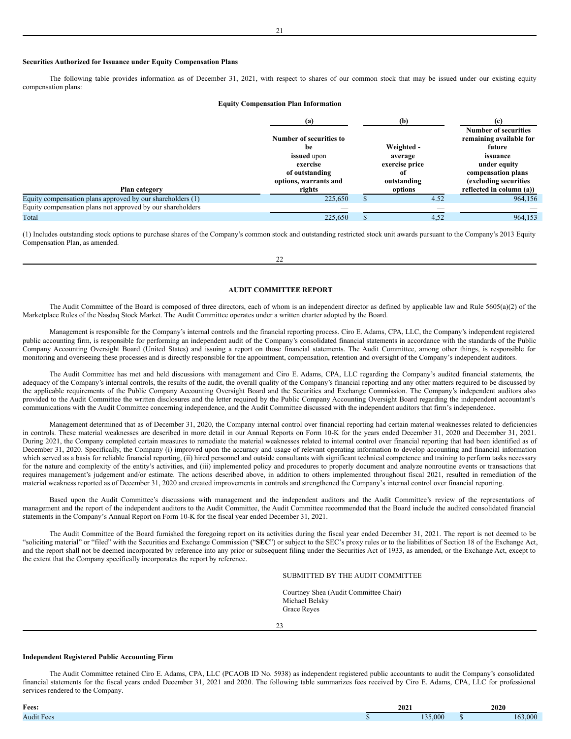## **Securities Authorized for Issuance under Equity Compensation Plans**

The following table provides information as of December 31, 2021, with respect to shares of our common stock that may be issued under our existing equity compensation plans:

## **Equity Compensation Plan Information**

|                                                            | (a)                      | (h)            | <b>Number of securities</b> |
|------------------------------------------------------------|--------------------------|----------------|-----------------------------|
|                                                            | Number of securities to  |                | remaining available for     |
|                                                            | be                       | Weighted -     | future                      |
|                                                            | issued upon              | average        | issuance                    |
|                                                            | exercise                 | exercise price | under equity                |
|                                                            | of outstanding           | -of            | compensation plans          |
|                                                            | options, warrants and    | outstanding    | (excluding securities       |
| Plan category                                              | rights                   | options        | reflected in column (a))    |
| Equity compensation plans approved by our shareholders (1) | 225,650                  | 4.52           | 964,156                     |
| Equity compensation plans not approved by our shareholders | $\overline{\phantom{a}}$ | __             |                             |
| Total                                                      | 225,650                  | 4,52           | 964.153                     |

(1) Includes outstanding stock options to purchase shares of the Company's common stock and outstanding restricted stock unit awards pursuant to the Company's 2013 Equity Compensation Plan, as amended.

#### <span id="page-12-0"></span>**AUDIT COMMITTEE REPORT**

The Audit Committee of the Board is composed of three directors, each of whom is an independent director as defined by applicable law and Rule 5605(a)(2) of the Marketplace Rules of the Nasdaq Stock Market. The Audit Committee operates under a written charter adopted by the Board.

Management is responsible for the Company's internal controls and the financial reporting process. Ciro E. Adams, CPA, LLC, the Company's independent registered public accounting firm, is responsible for performing an independent audit of the Company's consolidated financial statements in accordance with the standards of the Public Company Accounting Oversight Board (United States) and issuing a report on those financial statements. The Audit Committee, among other things, is responsible for monitoring and overseeing these processes and is directly responsible for the appointment, compensation, retention and oversight of the Company's independent auditors.

The Audit Committee has met and held discussions with management and Ciro E. Adams, CPA, LLC regarding the Company's audited financial statements, the adequacy of the Company's internal controls, the results of the audit, the overall quality of the Company's financial reporting and any other matters required to be discussed by the applicable requirements of the Public Company Accounting Oversight Board and the Securities and Exchange Commission. The Company's independent auditors also provided to the Audit Committee the written disclosures and the letter required by the Public Company Accounting Oversight Board regarding the independent accountant's communications with the Audit Committee concerning independence, and the Audit Committee discussed with the independent auditors that firm's independence.

Management determined that as of December 31, 2020, the Company internal control over financial reporting had certain material weaknesses related to deficiencies in controls. These material weaknesses are described in more detail in our Annual Reports on Form 10-K for the years ended December 31, 2020 and December 31, 2021. During 2021, the Company completed certain measures to remediate the material weaknesses related to internal control over financial reporting that had been identified as of December 31, 2020. Specifically, the Company (i) improved upon the accuracy and usage of relevant operating information to develop accounting and financial information which served as a basis for reliable financial reporting, (ii) hired personnel and outside consultants with significant technical competence and training to perform tasks necessary for the nature and complexity of the entity's activities, and (iii) implemented policy and procedures to properly document and analyze nonroutine events or transactions that requires management's judgement and/or estimate. The actions described above, in addition to others implemented throughout fiscal 2021, resulted in remediation of the material weakness reported as of December 31, 2020 and created improvements in controls and strengthened the Company's internal control over financial reporting.

Based upon the Audit Committee's discussions with management and the independent auditors and the Audit Committee's review of the representations of management and the report of the independent auditors to the Audit Committee, the Audit Committee recommended that the Board include the audited consolidated financial statements in the Company's Annual Report on Form 10-K for the fiscal year ended December 31, 2021.

The Audit Committee of the Board furnished the foregoing report on its activities during the fiscal year ended December 31, 2021. The report is not deemed to be "soliciting material" or "filed" with the Securities and Exchange Commission ("**SEC**") or subject to the SEC's proxy rules or to the liabilities of Section 18 of the Exchange Act, and the report shall not be deemed incorporated by reference into any prior or subsequent filing under the Securities Act of 1933, as amended, or the Exchange Act, except to the extent that the Company specifically incorporates the report by reference.

# SUBMITTED BY THE AUDIT COMMITTEE

Courtney Shea (Audit Committee Chair) Michael Belsky Grace Reyes

23

## **Independent Registered Public Accounting Firm**

The Audit Committee retained Ciro E. Adams, CPA, LLC (PCAOB ID No. 5938) as independent registered public accountants to audit the Company's consolidated financial statements for the fiscal years ended December 31, 2021 and 2020. The following table summarizes fees received by Ciro E. Adams, CPA, LLC for professional services rendered to the Company.

| Fees:      | 2021    | 2020 |      |  |
|------------|---------|------|------|--|
| Audit Fees | 135.000 |      | .000 |  |

22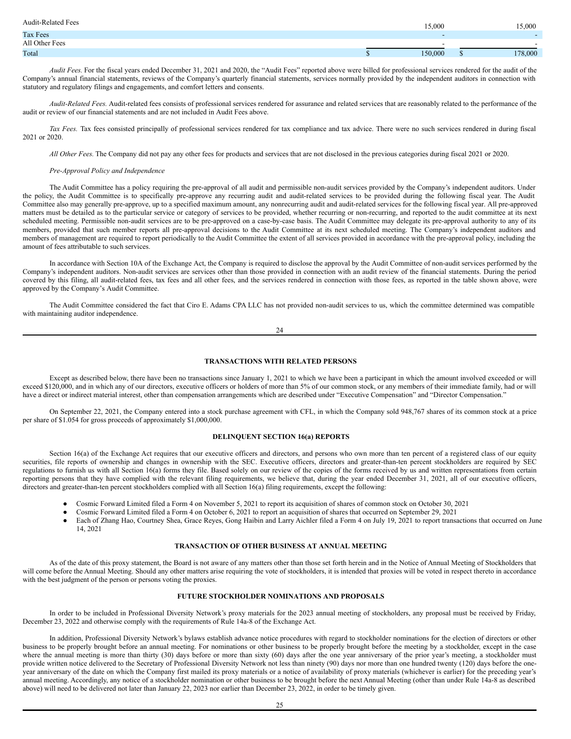| <b>Audit-Related Fees</b> | 15.000  | 15,000  |
|---------------------------|---------|---------|
| Tax Fees                  |         |         |
| All Other Fees            | . .     |         |
| Total                     | 150,000 | 178,000 |

*Audit Fees.* For the fiscal years ended December 31, 2021 and 2020, the "Audit Fees" reported above were billed for professional services rendered for the audit of the Company's annual financial statements, reviews of the Company's quarterly financial statements, services normally provided by the independent auditors in connection with statutory and regulatory filings and engagements, and comfort letters and consents.

*Audit-Related Fees.* Audit-related fees consists of professional services rendered for assurance and related services that are reasonably related to the performance of the audit or review of our financial statements and are not included in Audit Fees above.

*Tax Fees.* Tax fees consisted principally of professional services rendered for tax compliance and tax advice. There were no such services rendered in during fiscal 2021 or 2020.

*All Other Fees.* The Company did not pay any other fees for products and services that are not disclosed in the previous categories during fiscal 2021 or 2020.

## *Pre-Approval Policy and Independence*

The Audit Committee has a policy requiring the pre-approval of all audit and permissible non-audit services provided by the Company's independent auditors. Under the policy, the Audit Committee is to specifically pre-approve any recurring audit and audit-related services to be provided during the following fiscal year. The Audit Committee also may generally pre-approve, up to a specified maximum amount, any nonrecurring audit and audit-related services for the following fiscal year. All pre-approved matters must be detailed as to the particular service or category of services to be provided, whether recurring or non-recurring, and reported to the audit committee at its next scheduled meeting. Permissible non-audit services are to be pre-approved on a case-by-case basis. The Audit Committee may delegate its pre-approval authority to any of its members, provided that such member reports all pre-approval decisions to the Audit Committee at its next scheduled meeting. The Company's independent auditors and members of management are required to report periodically to the Audit Committee the extent of all services provided in accordance with the pre-approval policy, including the amount of fees attributable to such services.

In accordance with Section 10A of the Exchange Act, the Company is required to disclose the approval by the Audit Committee of non-audit services performed by the Company's independent auditors. Non-audit services are services other than those provided in connection with an audit review of the financial statements. During the period covered by this filing, all audit-related fees, tax fees and all other fees, and the services rendered in connection with those fees, as reported in the table shown above, were approved by the Company's Audit Committee.

The Audit Committee considered the fact that Ciro E. Adams CPA LLC has not provided non-audit services to us, which the committee determined was compatible with maintaining auditor independence.

24

## <span id="page-13-0"></span>**TRANSACTIONS WITH RELATED PERSONS**

Except as described below, there have been no transactions since January 1, 2021 to which we have been a participant in which the amount involved exceeded or will exceed \$120,000, and in which any of our directors, executive officers or holders of more than 5% of our common stock, or any members of their immediate family, had or will have a direct or indirect material interest, other than compensation arrangements which are described under "Executive Compensation" and "Director Compensation."

On September 22, 2021, the Company entered into a stock purchase agreement with CFL, in which the Company sold 948,767 shares of its common stock at a price per share of \$1.054 for gross proceeds of approximately \$1,000,000.

# <span id="page-13-1"></span>**DELINQUENT SECTION 16(a) REPORTS**

Section 16(a) of the Exchange Act requires that our executive officers and directors, and persons who own more than ten percent of a registered class of our equity securities, file reports of ownership and changes in ownership with the SEC. Executive officers, directors and greater-than-ten percent stockholders are required by SEC regulations to furnish us with all Section 16(a) forms they file. Based solely on our review of the copies of the forms received by us and written representations from certain reporting persons that they have complied with the relevant filing requirements, we believe that, during the year ended December 31, 2021, all of our executive officers, directors and greater-than-ten percent stockholders complied with all Section 16(a) filing requirements, except the following:

- Cosmic Forward Limited filed a Form 4 on November 5, 2021 to report its acquisition of shares of common stock on October 30, 2021
- Cosmic Forward Limited filed a Form 4 on October 6, 2021 to report an acquisition of shares that occurred on September 29, 2021
- Each of Zhang Hao, Courtney Shea, Grace Reyes, Gong Haibin and Larry Aichler filed a Form 4 on July 19, 2021 to report transactions that occurred on June 14, 2021

# <span id="page-13-2"></span>**TRANSACTION OF OTHER BUSINESS AT ANNUAL MEETING**

As of the date of this proxy statement, the Board is not aware of any matters other than those set forth herein and in the Notice of Annual Meeting of Stockholders that will come before the Annual Meeting. Should any other matters arise requiring the vote of stockholders, it is intended that proxies will be voted in respect thereto in accordance with the best judgment of the person or persons voting the proxies.

# <span id="page-13-3"></span>**FUTURE STOCKHOLDER NOMINATIONS AND PROPOSALS**

In order to be included in Professional Diversity Network's proxy materials for the 2023 annual meeting of stockholders, any proposal must be received by Friday, December 23, 2022 and otherwise comply with the requirements of Rule 14a-8 of the Exchange Act.

In addition, Professional Diversity Network's bylaws establish advance notice procedures with regard to stockholder nominations for the election of directors or other business to be properly brought before an annual meeting. For nominations or other business to be properly brought before the meeting by a stockholder, except in the case where the annual meeting is more than thirty (30) days before or more than sixty (60) days after the one year anniversary of the prior year's meeting, a stockholder must provide written notice delivered to the Secretary of Professional Diversity Network not less than ninety (90) days nor more than one hundred twenty (120) days before the oneyear anniversary of the date on which the Company first mailed its proxy materials or a notice of availability of proxy materials (whichever is earlier) for the preceding year's annual meeting. Accordingly, any notice of a stockholder nomination or other business to be brought before the next Annual Meeting (other than under Rule 14a-8 as described above) will need to be delivered not later than January 22, 2023 nor earlier than December 23, 2022, in order to be timely given.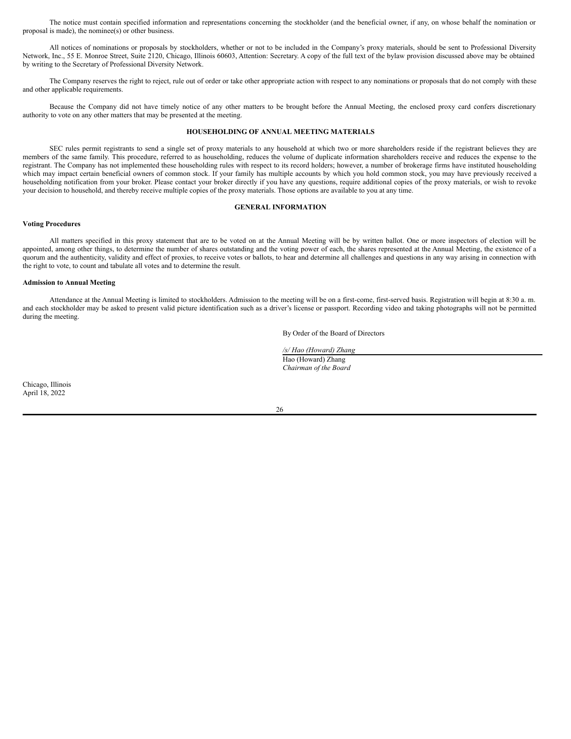The notice must contain specified information and representations concerning the stockholder (and the beneficial owner, if any, on whose behalf the nomination or proposal is made), the nominee(s) or other business.

All notices of nominations or proposals by stockholders, whether or not to be included in the Company's proxy materials, should be sent to Professional Diversity Network, Inc., 55 E. Monroe Street, Suite 2120, Chicago, Illinois 60603, Attention: Secretary. A copy of the full text of the bylaw provision discussed above may be obtained by writing to the Secretary of Professional Diversity Network.

The Company reserves the right to reject, rule out of order or take other appropriate action with respect to any nominations or proposals that do not comply with these and other applicable requirements.

Because the Company did not have timely notice of any other matters to be brought before the Annual Meeting, the enclosed proxy card confers discretionary authority to vote on any other matters that may be presented at the meeting.

# <span id="page-14-0"></span>**HOUSEHOLDING OF ANNUAL MEETING MATERIALS**

SEC rules permit registrants to send a single set of proxy materials to any household at which two or more shareholders reside if the registrant believes they are members of the same family. This procedure, referred to as householding, reduces the volume of duplicate information shareholders receive and reduces the expense to the registrant. The Company has not implemented these householding rules with respect to its record holders; however, a number of brokerage firms have instituted householding which may impact certain beneficial owners of common stock. If your family has multiple accounts by which you hold common stock, you may have previously received a householding notification from your broker. Please contact your broker directly if you have any questions, require additional copies of the proxy materials, or wish to revoke your decision to household, and thereby receive multiple copies of the proxy materials. Those options are available to you at any time.

## <span id="page-14-1"></span>**GENERAL INFORMATION**

## **Voting Procedures**

All matters specified in this proxy statement that are to be voted on at the Annual Meeting will be by written ballot. One or more inspectors of election will be appointed, among other things, to determine the number of shares outstanding and the voting power of each, the shares represented at the Annual Meeting, the existence of a quorum and the authenticity, validity and effect of proxies, to receive votes or ballots, to hear and determine all challenges and questions in any way arising in connection with the right to vote, to count and tabulate all votes and to determine the result.

# **Admission to Annual Meeting**

Attendance at the Annual Meeting is limited to stockholders. Admission to the meeting will be on a first-come, first-served basis. Registration will begin at 8:30 a. m. and each stockholder may be asked to present valid picture identification such as a driver's license or passport. Recording video and taking photographs will not be permitted during the meeting.

By Order of the Board of Directors

*/s/ Hao (Howard) Zhang* Hao (Howard) Zhang *Chairman of the Board*

Chicago, Illinois April 18, 2022

26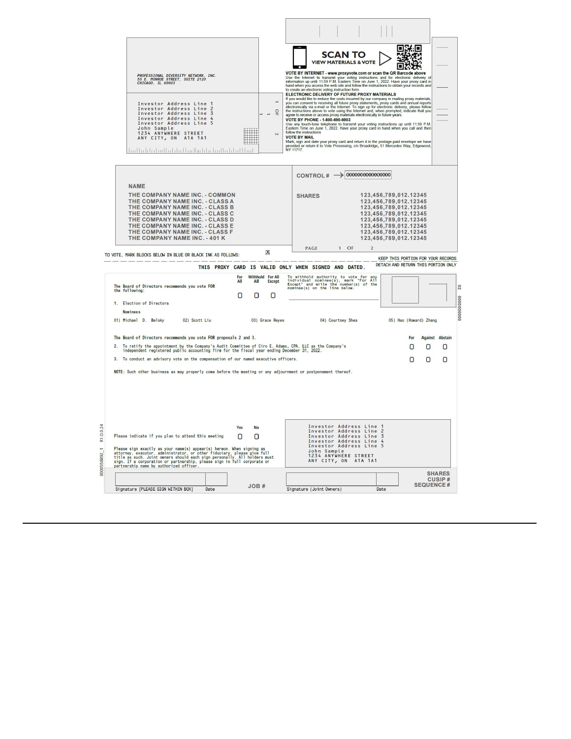|                                                                                                                                                                                                                                                                                                                                                                         |                                                 | <b>SCAN TO</b>                                                                                                                                                                                                                                                                                                                                                                                                                                                                                                                                                                                                                                                                                                                                                                                                                                                                                                              | 张匡<br>п                                                                                                                                                                                              |                                  |
|-------------------------------------------------------------------------------------------------------------------------------------------------------------------------------------------------------------------------------------------------------------------------------------------------------------------------------------------------------------------------|-------------------------------------------------|-----------------------------------------------------------------------------------------------------------------------------------------------------------------------------------------------------------------------------------------------------------------------------------------------------------------------------------------------------------------------------------------------------------------------------------------------------------------------------------------------------------------------------------------------------------------------------------------------------------------------------------------------------------------------------------------------------------------------------------------------------------------------------------------------------------------------------------------------------------------------------------------------------------------------------|------------------------------------------------------------------------------------------------------------------------------------------------------------------------------------------------------|----------------------------------|
| PROFESSIONAL DIVERSITY NETWORK, INC.<br>55 E. MONROE STREET, SUITE 2120<br>CHICAGO, IL 60603                                                                                                                                                                                                                                                                            |                                                 | <b>VIEW MATERIALS &amp; VOTE</b><br>VOTE BY INTERNET - www.proxyvote.com or scan the QR Barcode above<br>Use the Internet to transmit your voting instructions and for electronic delivery of information up until 11:59 P.M. Eastern Time on June 1, 2022. Have your proxy card in<br>hand when you access the web site and follow the instructions to obtain your records and to create an electronic voting instruction form.<br>ELECTRONIC DELIVERY OF FUTURE PROXY MATERIALS                                                                                                                                                                                                                                                                                                                                                                                                                                           |                                                                                                                                                                                                      |                                  |
| Investor Address Line 1<br>Investor Address Line 2<br>Investor Address Line 3<br>Investor Address Line 4<br>Investor Address Line 5<br>John Sample<br>1234 ANYWHERE STREET<br>ANY CITY, ON A1A 1A1<br>بينا انتباطين البينا بالتبيا ببالتباط انقلبتها بالبينا                                                                                                            | $\frac{1}{2}$<br>$\rightarrow$<br>$\sim$        | If you would like to reduce the costs incurred by our company in mailing proxy materials<br>you can consent to receiving all future proxy statements, proxy cards and annual reports<br>electronically via e-mail or the Internet. To sign up for electronic delivery, please follow<br>the instructions above to vote using the Internet and, when prompted, indicate that you agree to receive or access proxy materials electronically in future years.<br>VOTE BY PHONE - 1-800-690-6903<br>Use any touch-tone telephone to transmit your voting instructions up until 11:59 P.M.<br>Eastern Time on June 1, 2022. Have your proxy card in hand when you call and then<br>follow the instructions<br><b>VOTE BY MAIL</b><br>Mark, sign and date your proxy card and return it in the postage-paid envelope we have<br>provided or return it to Vote Processing, c/o Broadridge, 51 Mercedes Way, Edgewood,<br>NY 11717. |                                                                                                                                                                                                      |                                  |
|                                                                                                                                                                                                                                                                                                                                                                         |                                                 | CONTROL# $\rightarrow$ 0000000000000000                                                                                                                                                                                                                                                                                                                                                                                                                                                                                                                                                                                                                                                                                                                                                                                                                                                                                     |                                                                                                                                                                                                      |                                  |
| <b>NAME</b><br>THE COMPANY NAME INC. - COMMON<br>THE COMPANY NAME INC. - CLASS A<br>THE COMPANY NAME INC. - CLASS B<br>THE COMPANY NAME INC. - CLASS C<br>THE COMPANY NAME INC. - CLASS D<br>THE COMPANY NAME INC. - CLASS E<br>THE COMPANY NAME INC. - CLASS F<br>THE COMPANY NAME INC. - 401 K                                                                        |                                                 | <b>SHARES</b>                                                                                                                                                                                                                                                                                                                                                                                                                                                                                                                                                                                                                                                                                                                                                                                                                                                                                                               | 123,456,789,012.12345<br>123,456,789,012.12345<br>123,456,789,012.12345<br>123,456,789,012.12345<br>123,456,789,012.12345<br>123,456,789,012.12345<br>123,456,789,012.12345<br>123,456,789,012.12345 |                                  |
| TO VOTE, MARK BLOCKS BELOW IN BLUE OR BLACK INK AS FOLLOWS:                                                                                                                                                                                                                                                                                                             | Х                                               | <b>PAGE</b><br>$1$ OF<br>2                                                                                                                                                                                                                                                                                                                                                                                                                                                                                                                                                                                                                                                                                                                                                                                                                                                                                                  | KEEP THIS PORTION FOR YOUR RECORDS                                                                                                                                                                   |                                  |
|                                                                                                                                                                                                                                                                                                                                                                         |                                                 | THIS PROXY CARD IS VALID ONLY WHEN SIGNED AND DATED.                                                                                                                                                                                                                                                                                                                                                                                                                                                                                                                                                                                                                                                                                                                                                                                                                                                                        | DETACH AND RETURN THIS PORTION ONLY                                                                                                                                                                  |                                  |
| The Board of Directors recommends you vote FOR<br>the following:                                                                                                                                                                                                                                                                                                        | Withhold For All<br>All<br>All<br><b>Except</b> | To withhold authority to vote for any<br>individual nominee(s), mark "For All<br>Except" and write the number(s) of the<br>nominee(s) on the line below.                                                                                                                                                                                                                                                                                                                                                                                                                                                                                                                                                                                                                                                                                                                                                                    |                                                                                                                                                                                                      | $\overline{c}$                   |
| 1. Election of Directors<br><b>Nominees</b>                                                                                                                                                                                                                                                                                                                             | 0<br>0<br>0                                     |                                                                                                                                                                                                                                                                                                                                                                                                                                                                                                                                                                                                                                                                                                                                                                                                                                                                                                                             |                                                                                                                                                                                                      | 0000000000                       |
| 01) Michael D. Belsky<br>02) Scott Liu                                                                                                                                                                                                                                                                                                                                  | 03) Grace Reves                                 | 04) Courtney Shea                                                                                                                                                                                                                                                                                                                                                                                                                                                                                                                                                                                                                                                                                                                                                                                                                                                                                                           | 05) Hao (Howard) Zhang                                                                                                                                                                               |                                  |
| The Board of Directors recommends you vote FOR proposals 2 and 3.<br>To ratify the appointment by the Company's Audit Committee of Ciro E. Adams, CPA, LLC as the Company's<br>independent registered public accounting firm for the fiscal year ending December 31, 2022.<br>2.<br>3. To conduct an advisory vote on the compensation of our named executive officers. |                                                 |                                                                                                                                                                                                                                                                                                                                                                                                                                                                                                                                                                                                                                                                                                                                                                                                                                                                                                                             | For<br>О<br>0<br>О<br>O                                                                                                                                                                              | <b>Against Abstain</b><br>Ω<br>0 |
| NOTE: Such other business as may properly come before the meeting or any adjournment or postponement thereof.                                                                                                                                                                                                                                                           |                                                 |                                                                                                                                                                                                                                                                                                                                                                                                                                                                                                                                                                                                                                                                                                                                                                                                                                                                                                                             |                                                                                                                                                                                                      |                                  |
|                                                                                                                                                                                                                                                                                                                                                                         |                                                 |                                                                                                                                                                                                                                                                                                                                                                                                                                                                                                                                                                                                                                                                                                                                                                                                                                                                                                                             |                                                                                                                                                                                                      |                                  |
| R1.0.0.24<br>Please indicate if you plan to attend this meeting<br>Please sign exactly as your name(s) appear(s) hereon. When signing as<br>attorney, executor, administrator, or other fiduciary, please give full<br>title as such. Joint owners should each sign personally. All holders must<br>sign.<br>0000558892_1                                               | Yes<br><b>No</b><br>n<br>$\Box$                 | Investor Address Line<br>Investor Address Line<br>Investor Address Line 3<br>Investor Address Line<br>Investor Address Line<br>John Sample<br>1234 ANYWHERE STREET<br>ANY CITY, ON A1A 1A1                                                                                                                                                                                                                                                                                                                                                                                                                                                                                                                                                                                                                                                                                                                                  | 5                                                                                                                                                                                                    |                                  |
| partnership name by authorized officer                                                                                                                                                                                                                                                                                                                                  |                                                 |                                                                                                                                                                                                                                                                                                                                                                                                                                                                                                                                                                                                                                                                                                                                                                                                                                                                                                                             |                                                                                                                                                                                                      | <b>SHARES</b><br><b>CUSIP#</b>   |